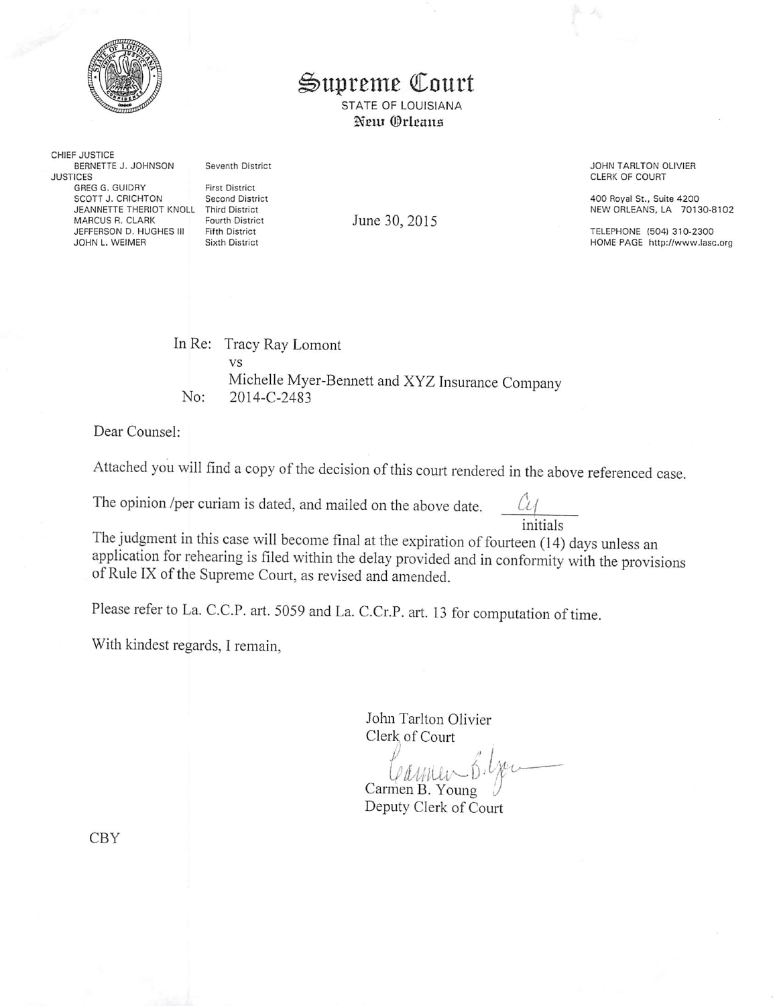

## Supreme Court

STATE OF LOUISIANA Neur Orleans

CHIEF JUSTICE BERNETTE J. JOHNSON Seventh District JUSTICES GREG G. GUIDRY First District<br>SCOTT J. CRICHTON Second District SCOTT J. CRICHTON Second District<br>JEANNETTE THERIOT KNOLL Third District JEANNETTE THERIOT KNOLL MARCUS R. CLARK Fourth District<br>JEFFERSON D. HUGHES III Fifth District JEFFERSON D, HUGHES III Fifth District<br>JOHN L, WEIMER Sixth District JOHN L. WEIMER

June 30, 2015

JOHN TARLTON OLIVIER CLERK OF COURT

400 Royal St.. Suite 4200 NEW ORLEANS. LA 70130-8102

TELEPHONE (504)310-2300 HOME PAGE http://www.lasc.org

In Re: Tracy Ray Lomont No: vs Michelle Myer-Bennett and XYZ Insurance Company 2014-C-2483

Dear Counsel:

Attached you will find a copy of the decision of this court rendered in the above referenced case.

The opinion /per curiam is dated, and mailed on the above date.  $\mathcal{U}$ 

initials<br>The judgment in this case will become final at the expiration of fourteen (14) days unless an application for rehearing is filed within the delay provided and in conformity with the provisions of Rule IX of the Supreme Court, as revised and amended.

Please refer to La. C.C.P. art. 5059 and La. C.Cr.P. art. 13 for computation of time.

With kindest regards, I remain,

John Tarlton Olivier Clerk^ of Court

Carmen B. Young Deputy Clerk of Court

CBY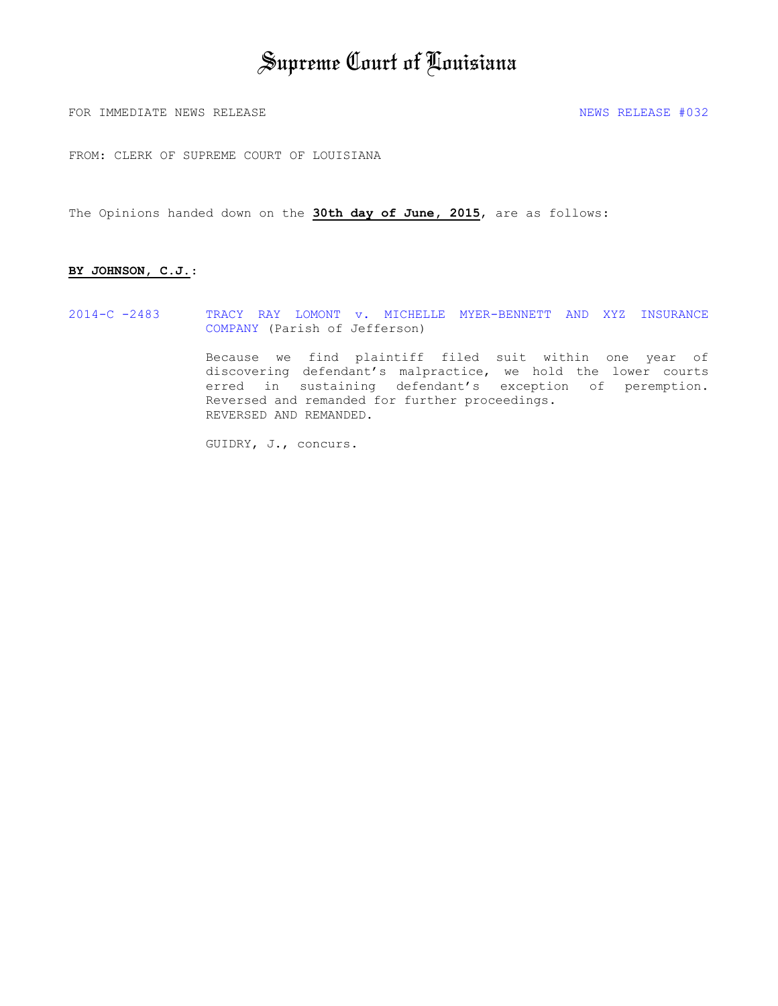# Supreme Court of Louisiana

FOR IMMEDIATE NEWS RELEASE  $\uparrow$  032

FROM: CLERK OF SUPREME COURT OF LOUISIANA

The Opinions handed down on the **30th day of June, 2015**, are as follows:

#### **BY JOHNSON, C.J.**:

2014-C -2483 TRACY RAY LOMONT v. MICHELLE MYER-BENNETT AND XYZ INSURANCE COMPANY (Parish of Jefferson)

> Because we find plaintiff filed suit within one year of discovering defendant's malpractice, we hold the lower courts erred in sustaining defendant's exception of peremption. Reversed and remanded for further proceedings. REVERSED AND REMANDED.

GUIDRY, J., concurs.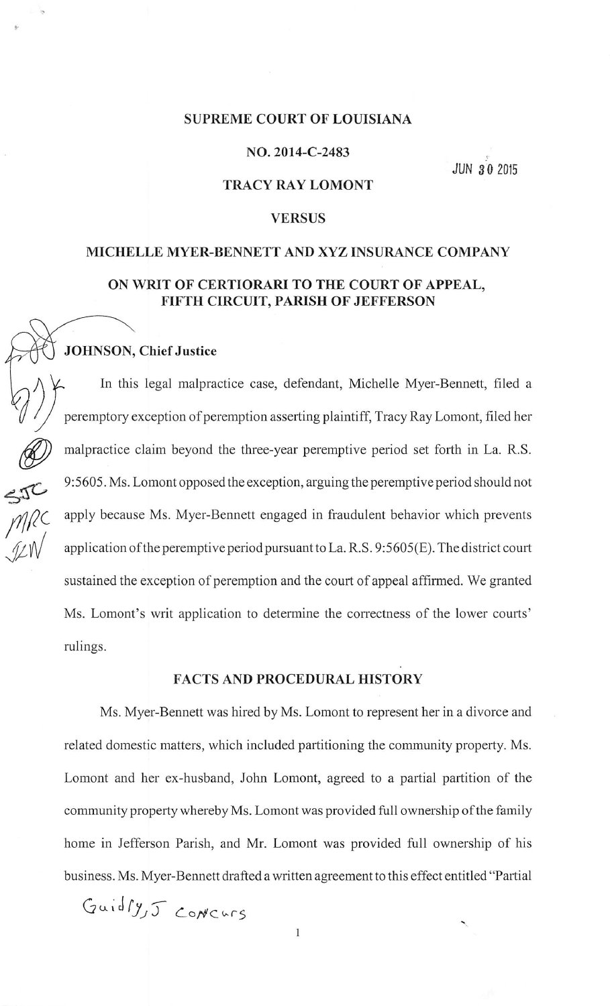## SUPREME COURT OF LOUISIANA

#### NO. 2014-C-2483

JUN 30 2015

## TRACY RAY LOMONT

## VERSUS

# MICHELLE MYER-BENNETT AND XYZ INSURANCE COMPANY ON WRIT OF CERTIORARI TO THE COURT OF APPEAL, FIFTH CIRCUIT, PARISH OF JEFFERSON

## JOHNSON, Chief Justice

i'

 $\widetilde{\leftarrow}$ 

**SER** 

In this legal malpractice case, defendant, Michelle Myer-Bennett, filed a peremptory exception of peremption asserting plaintiff, Tracy Ray Lomont, filed her malpractice claim beyond the three-year peremptive period set forth in La. R.S. 9:5605. Ms. Lomont opposed the exception, arguing the peremptive period should not apply because Ms. Myer-Bennett engaged in fraudulent behavior which prevents application ofthe peremptive period pursuant to La. R.S. 9:5605(E). The district court sustained the exception of peremption and the court of appeal affirmed. We granted Ms. Lomont's writ application to determine the correctness of the lower courts' rulings.

#### FACTS AND PROCEDURAL HISTORY

Ms. Myer-Bennett was hired by Ms. Lomont to represent her in a divorce and related domestic matters, which included partitioning the community property. Ms. Lomont and her ex-husband, John Lomont, agreed to a partial partition of the community property whereby Ms. Lomont was provided full ownership ofthe family home in Jefferson Parish, and Mr. Lomont was provided full ownership of his business. Ms. Myer-Bennett drafted a written agreement to this effect entitled "Partial

Guidly, J CONCURS

 $\,1$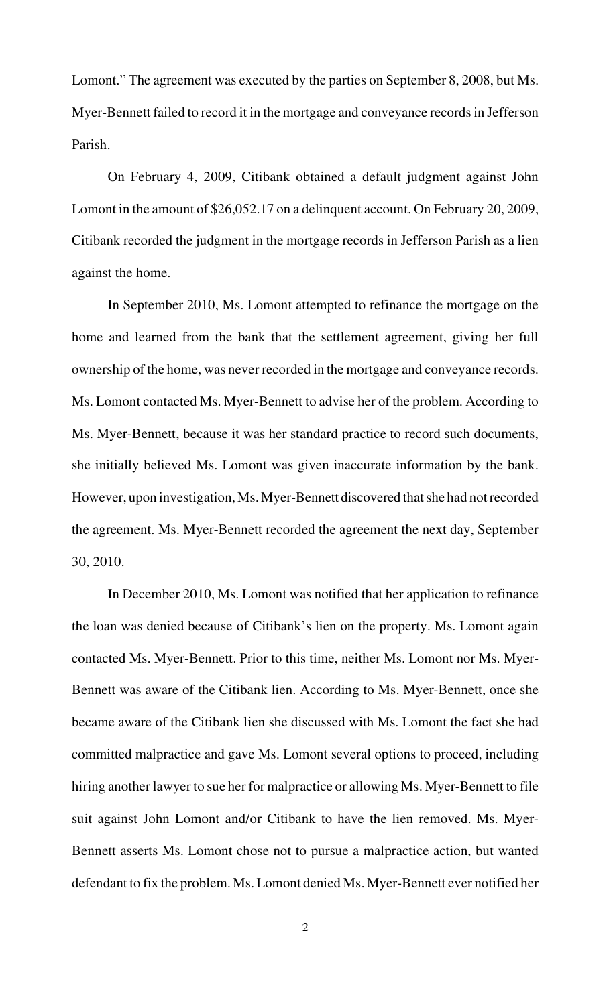Lomont." The agreement was executed by the parties on September 8, 2008, but Ms. Myer-Bennett failed to record it in the mortgage and conveyance records in Jefferson Parish.

On February 4, 2009, Citibank obtained a default judgment against John Lomont in the amount of \$26,052.17 on a delinquent account. On February 20, 2009, Citibank recorded the judgment in the mortgage records in Jefferson Parish as a lien against the home.

In September 2010, Ms. Lomont attempted to refinance the mortgage on the home and learned from the bank that the settlement agreement, giving her full ownership of the home, was never recorded in the mortgage and conveyance records. Ms. Lomont contacted Ms. Myer-Bennett to advise her of the problem. According to Ms. Myer-Bennett, because it was her standard practice to record such documents, she initially believed Ms. Lomont was given inaccurate information by the bank. However, upon investigation, Ms. Myer-Bennett discovered that she had not recorded the agreement. Ms. Myer-Bennett recorded the agreement the next day, September 30, 2010.

In December 2010, Ms. Lomont was notified that her application to refinance the loan was denied because of Citibank's lien on the property. Ms. Lomont again contacted Ms. Myer-Bennett. Prior to this time, neither Ms. Lomont nor Ms. Myer-Bennett was aware of the Citibank lien. According to Ms. Myer-Bennett, once she became aware of the Citibank lien she discussed with Ms. Lomont the fact she had committed malpractice and gave Ms. Lomont several options to proceed, including hiring another lawyer to sue her for malpractice or allowing Ms. Myer-Bennett to file suit against John Lomont and/or Citibank to have the lien removed. Ms. Myer-Bennett asserts Ms. Lomont chose not to pursue a malpractice action, but wanted defendant to fix the problem. Ms. Lomont denied Ms. Myer-Bennett ever notified her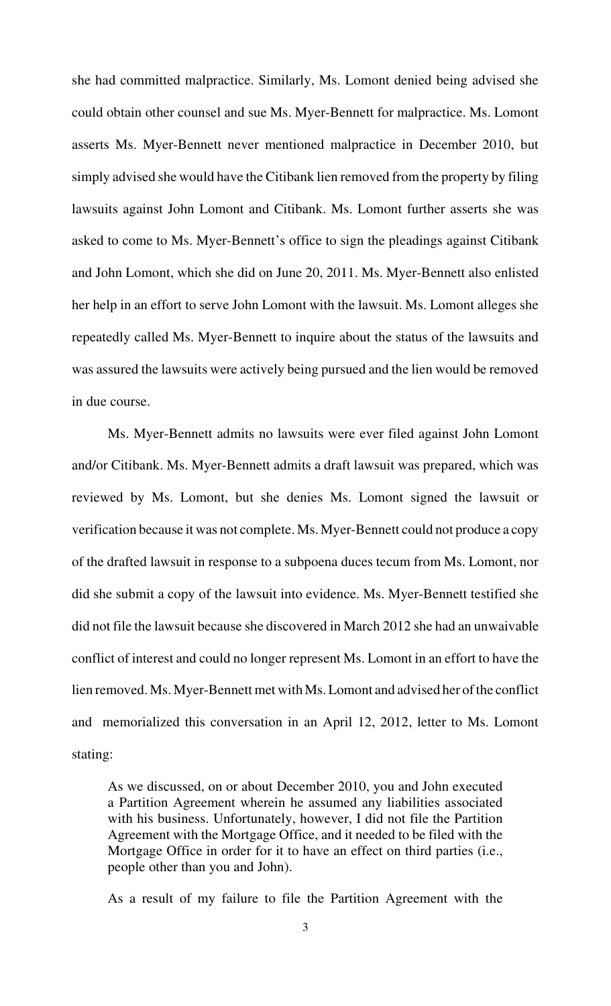she had committed malpractice. Similarly, Ms. Lomont denied being advised she could obtain other counsel and sue Ms. Myer-Bennett for malpractice. Ms. Lomont asserts Ms. Myer-Bennett never mentioned malpractice in December 2010, but simply advised she would have the Citibank lien removed from the property by filing lawsuits against John Lomont and Citibank. Ms. Lomont further asserts she was asked to come to Ms. Myer-Bennett's office to sign the pleadings against Citibank and John Lomont, which she did on June 20, 2011. Ms. Myer-Bennett also enlisted her help in an effort to serve John Lomont with the lawsuit. Ms. Lomont alleges she repeatedly called Ms. Myer-Bennett to inquire about the status of the lawsuits and was assured the lawsuits were actively being pursued and the lien would be removed in due course.

Ms. Myer-Bennett admits no lawsuits were ever filed against John Lomont and/or Citibank. Ms. Myer-Bennett admits a draft lawsuit was prepared, which was reviewed by Ms. Lomont, but she denies Ms. Lomont signed the lawsuit or verification because it was not complete. Ms. Myer-Bennett could not produce a copy of the drafted lawsuit in response to a subpoena duces tecum from Ms. Lomont, nor did she submit a copy of the lawsuit into evidence. Ms. Myer-Bennett testified she did not file the lawsuit because she discovered in March 2012 she had an unwaivable conflict of interest and could no longer represent Ms. Lomont in an effort to have the lien removed. Ms. Myer-Bennett met with Ms. Lomont and advised her of the conflict and memorialized this conversation in an April 12, 2012, letter to Ms. Lomont stating:

As we discussed, on or about December 2010, you and John executed a Partition Agreement wherein he assumed any liabilities associated with his business. Unfortunately, however, I did not file the Partition Agreement with the Mortgage Office, and it needed to be filed with the Mortgage Office in order for it to have an effect on third parties (i.e., people other than you and John).

As a result of my failure to file the Partition Agreement with the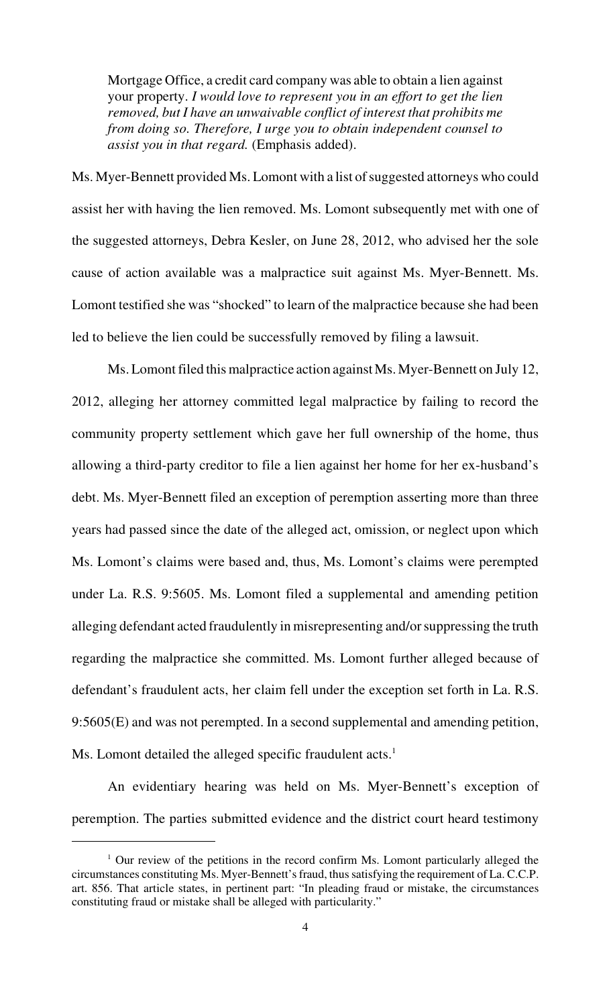Mortgage Office, a credit card company was able to obtain a lien against your property. *I would love to represent you in an effort to get the lien removed, but I have an unwaivable conflict of interest that prohibits me from doing so. Therefore, I urge you to obtain independent counsel to assist you in that regard.* (Emphasis added).

Ms. Myer-Bennett provided Ms. Lomont with a list of suggested attorneys who could assist her with having the lien removed. Ms. Lomont subsequently met with one of the suggested attorneys, Debra Kesler, on June 28, 2012, who advised her the sole cause of action available was a malpractice suit against Ms. Myer-Bennett. Ms. Lomont testified she was "shocked" to learn of the malpractice because she had been led to believe the lien could be successfully removed by filing a lawsuit.

Ms. Lomont filed this malpractice action against Ms. Myer-Bennett on July 12, 2012, alleging her attorney committed legal malpractice by failing to record the community property settlement which gave her full ownership of the home, thus allowing a third-party creditor to file a lien against her home for her ex-husband's debt. Ms. Myer-Bennett filed an exception of peremption asserting more than three years had passed since the date of the alleged act, omission, or neglect upon which Ms. Lomont's claims were based and, thus, Ms. Lomont's claims were perempted under La. R.S. 9:5605. Ms. Lomont filed a supplemental and amending petition alleging defendant acted fraudulently in misrepresenting and/or suppressing the truth regarding the malpractice she committed. Ms. Lomont further alleged because of defendant's fraudulent acts, her claim fell under the exception set forth in La. R.S. 9:5605(E) and was not perempted. In a second supplemental and amending petition, Ms. Lomont detailed the alleged specific fraudulent  $acts.<sup>1</sup>$ 

An evidentiary hearing was held on Ms. Myer-Bennett's exception of peremption. The parties submitted evidence and the district court heard testimony

 $\frac{1}{1}$  Our review of the petitions in the record confirm Ms. Lomont particularly alleged the circumstances constituting Ms. Myer-Bennett's fraud, thus satisfying the requirement of La. C.C.P. art. 856. That article states, in pertinent part: "In pleading fraud or mistake, the circumstances constituting fraud or mistake shall be alleged with particularity."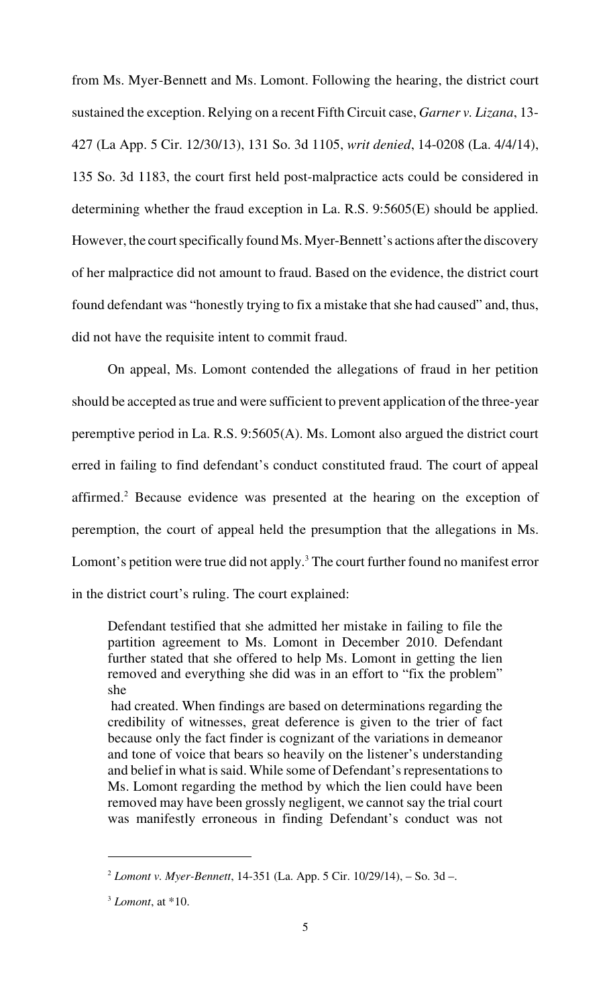from Ms. Myer-Bennett and Ms. Lomont. Following the hearing, the district court sustained the exception. Relying on a recent Fifth Circuit case, *Garner v. Lizana*, 13- 427 (La App. 5 Cir. 12/30/13), 131 So. 3d 1105, *writ denied*, 14-0208 (La. 4/4/14), 135 So. 3d 1183, the court first held post-malpractice acts could be considered in determining whether the fraud exception in La. R.S. 9:5605(E) should be applied. However, the court specifically found Ms. Myer-Bennett's actions after the discovery of her malpractice did not amount to fraud. Based on the evidence, the district court found defendant was "honestly trying to fix a mistake that she had caused" and, thus, did not have the requisite intent to commit fraud.

On appeal, Ms. Lomont contended the allegations of fraud in her petition should be accepted as true and were sufficient to prevent application of the three-year peremptive period in La. R.S. 9:5605(A). Ms. Lomont also argued the district court erred in failing to find defendant's conduct constituted fraud. The court of appeal affirmed.<sup>2</sup> Because evidence was presented at the hearing on the exception of peremption, the court of appeal held the presumption that the allegations in Ms. Lomont's petition were true did not apply.<sup>3</sup> The court further found no manifest error in the district court's ruling. The court explained:

Defendant testified that she admitted her mistake in failing to file the partition agreement to Ms. Lomont in December 2010. Defendant further stated that she offered to help Ms. Lomont in getting the lien removed and everything she did was in an effort to "fix the problem" she

 had created. When findings are based on determinations regarding the credibility of witnesses, great deference is given to the trier of fact because only the fact finder is cognizant of the variations in demeanor and tone of voice that bears so heavily on the listener's understanding and belief in what is said. While some of Defendant's representations to Ms. Lomont regarding the method by which the lien could have been removed may have been grossly negligent, we cannot say the trial court was manifestly erroneous in finding Defendant's conduct was not

*Lomont v. Myer-Bennett*, 14-351 (La. App. 5 Cir. 10/29/14), – So. 3d –. <sup>2</sup>

 $<sup>3</sup>$  *Lomont*, at  $*10$ .</sup>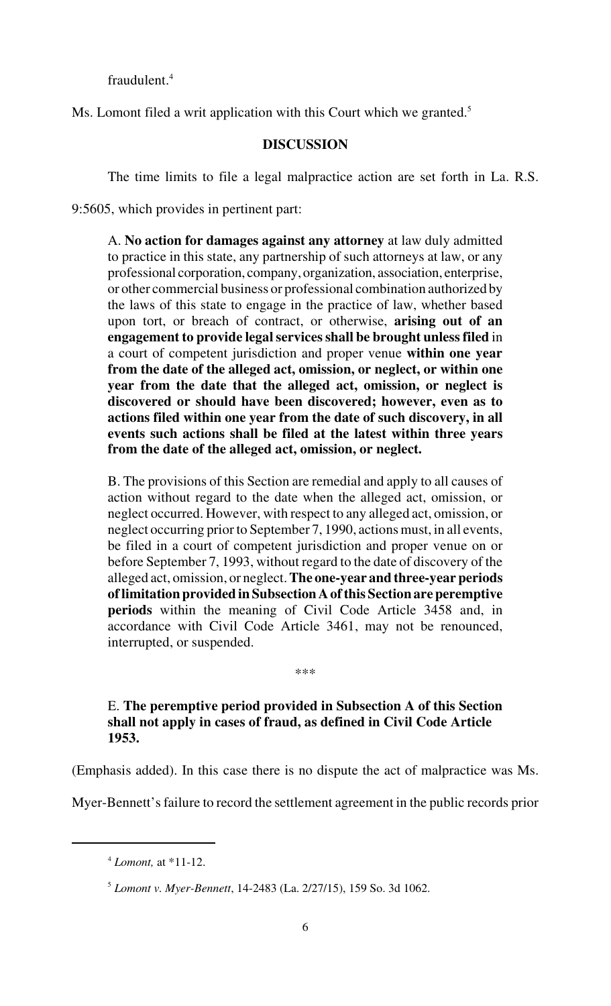fraudulent.<sup>4</sup>

Ms. Lomont filed a writ application with this Court which we granted.<sup>5</sup>

## **DISCUSSION**

The time limits to file a legal malpractice action are set forth in La. R.S.

9:5605, which provides in pertinent part:

A. **No action for damages against any attorney** at law duly admitted to practice in this state, any partnership of such attorneys at law, or any professional corporation, company, organization, association, enterprise, or other commercial business or professional combination authorized by the laws of this state to engage in the practice of law, whether based upon tort, or breach of contract, or otherwise, **arising out of an engagement to provide legal services shall be brought unless filed** in a court of competent jurisdiction and proper venue **within one year from the date of the alleged act, omission, or neglect, or within one year from the date that the alleged act, omission, or neglect is discovered or should have been discovered; however, even as to actions filed within one year from the date of such discovery, in all events such actions shall be filed at the latest within three years from the date of the alleged act, omission, or neglect.**

B. The provisions of this Section are remedial and apply to all causes of action without regard to the date when the alleged act, omission, or neglect occurred. However, with respect to any alleged act, omission, or neglect occurring prior to September 7, 1990, actions must, in all events, be filed in a court of competent jurisdiction and proper venue on or before September 7, 1993, without regard to the date of discovery of the alleged act, omission, or neglect. **The one-year and three-year periods of limitation provided in Subsection A of this Section are peremptive periods** within the meaning of Civil Code Article 3458 and, in accordance with Civil Code Article 3461, may not be renounced, interrupted, or suspended.

\*\*\*

E. **The peremptive period provided in Subsection A of this Section shall not apply in cases of fraud, as defined in Civil Code Article 1953.**

(Emphasis added). In this case there is no dispute the act of malpractice was Ms.

Myer-Bennett's failure to record the settlement agreement in the public records prior

*Lomont,* at \*11-12. <sup>4</sup>

*Lomont v. Myer-Bennett*, 14-2483 (La. 2/27/15), 159 So. 3d 1062. <sup>5</sup>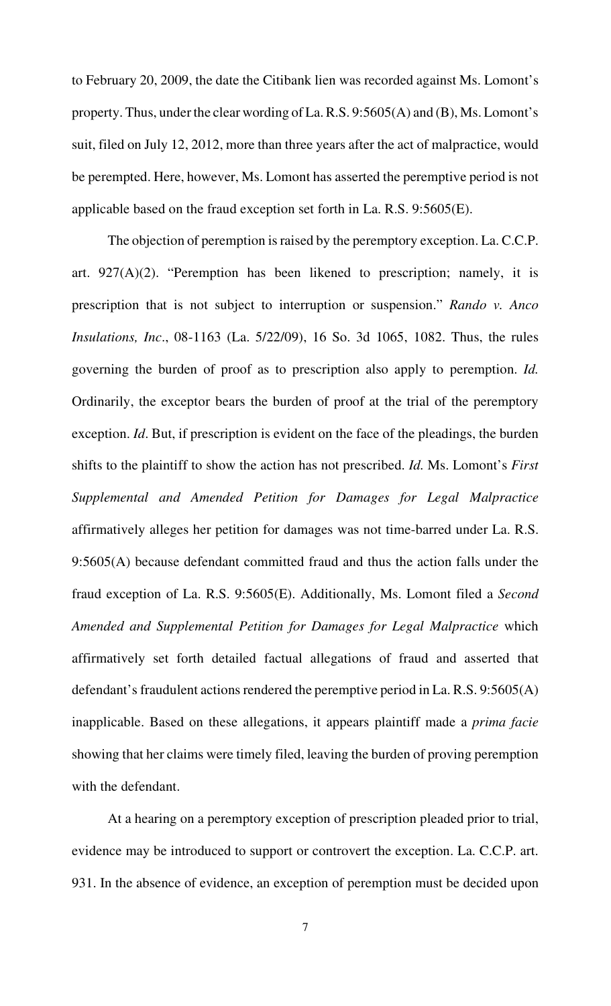to February 20, 2009, the date the Citibank lien was recorded against Ms. Lomont's property. Thus, under the clear wording of La. R.S. 9:5605(A) and (B), Ms. Lomont's suit, filed on July 12, 2012, more than three years after the act of malpractice, would be perempted. Here, however, Ms. Lomont has asserted the peremptive period is not applicable based on the fraud exception set forth in La. R.S. 9:5605(E).

The objection of peremption is raised by the peremptory exception. La. C.C.P. art.  $927(A)(2)$ . "Peremption has been likened to prescription; namely, it is prescription that is not subject to interruption or suspension." *Rando v. Anco Insulations, Inc*., 08-1163 (La. 5/22/09), 16 So. 3d 1065, 1082. Thus, the rules governing the burden of proof as to prescription also apply to peremption. *Id.* Ordinarily, the exceptor bears the burden of proof at the trial of the peremptory exception. *Id*. But, if prescription is evident on the face of the pleadings, the burden shifts to the plaintiff to show the action has not prescribed. *Id.* Ms. Lomont's *First Supplemental and Amended Petition for Damages for Legal Malpractice* affirmatively alleges her petition for damages was not time-barred under La. R.S. 9:5605(A) because defendant committed fraud and thus the action falls under the fraud exception of La. R.S. 9:5605(E). Additionally, Ms. Lomont filed a *Second Amended and Supplemental Petition for Damages for Legal Malpractice* which affirmatively set forth detailed factual allegations of fraud and asserted that defendant's fraudulent actions rendered the peremptive period in La. R.S. 9:5605(A) inapplicable. Based on these allegations, it appears plaintiff made a *prima facie* showing that her claims were timely filed, leaving the burden of proving peremption with the defendant.

At a hearing on a peremptory exception of prescription pleaded prior to trial, evidence may be introduced to support or controvert the exception. La. C.C.P. art. 931. In the absence of evidence, an exception of peremption must be decided upon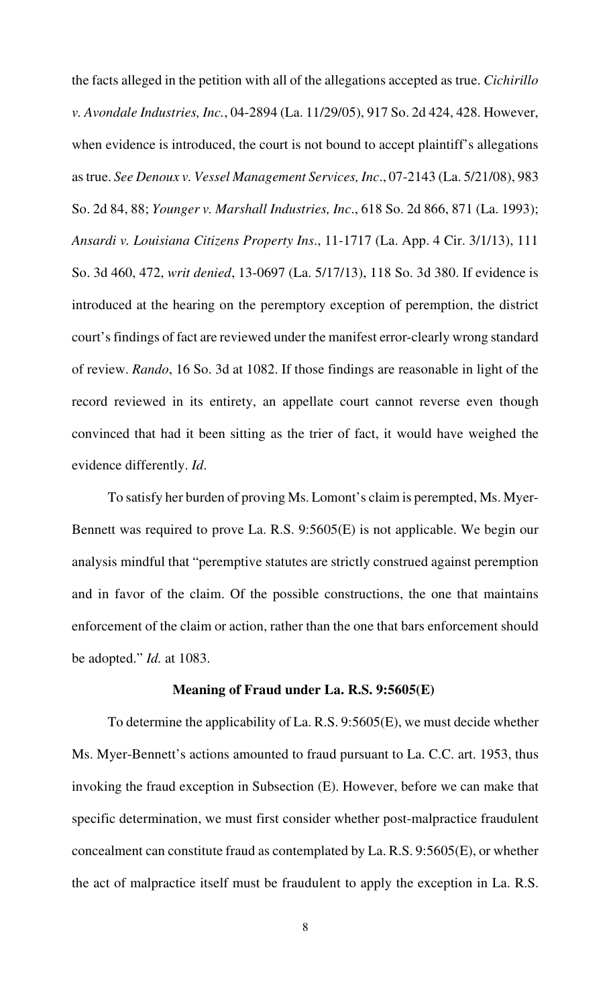the facts alleged in the petition with all of the allegations accepted as true. *Cichirillo v. Avondale Industries, Inc.*, 04-2894 (La. 11/29/05), 917 So. 2d 424, 428. However, when evidence is introduced, the court is not bound to accept plaintiff's allegations as true. *See Denoux v. Vessel Management Services, Inc*., 07-2143 (La. 5/21/08), 983 So. 2d 84, 88; *Younger v. Marshall Industries, Inc*., 618 So. 2d 866, 871 (La. 1993); *Ansardi v. Louisiana Citizens Property Ins*., 11-1717 (La. App. 4 Cir. 3/1/13), 111 So. 3d 460, 472, *writ denied*, 13-0697 (La. 5/17/13), 118 So. 3d 380. If evidence is introduced at the hearing on the peremptory exception of peremption, the district court's findings of fact are reviewed under the manifest error-clearly wrong standard of review. *Rando*, 16 So. 3d at 1082. If those findings are reasonable in light of the record reviewed in its entirety, an appellate court cannot reverse even though convinced that had it been sitting as the trier of fact, it would have weighed the evidence differently. *Id*.

To satisfy her burden of proving Ms. Lomont's claim is perempted, Ms. Myer-Bennett was required to prove La. R.S. 9:5605(E) is not applicable. We begin our analysis mindful that "peremptive statutes are strictly construed against peremption and in favor of the claim. Of the possible constructions, the one that maintains enforcement of the claim or action, rather than the one that bars enforcement should be adopted." *Id.* at 1083.

### **Meaning of Fraud under La. R.S. 9:5605(E)**

To determine the applicability of La. R.S. 9:5605(E), we must decide whether Ms. Myer-Bennett's actions amounted to fraud pursuant to La. C.C. art. 1953, thus invoking the fraud exception in Subsection (E). However, before we can make that specific determination, we must first consider whether post-malpractice fraudulent concealment can constitute fraud as contemplated by La. R.S. 9:5605(E), or whether the act of malpractice itself must be fraudulent to apply the exception in La. R.S.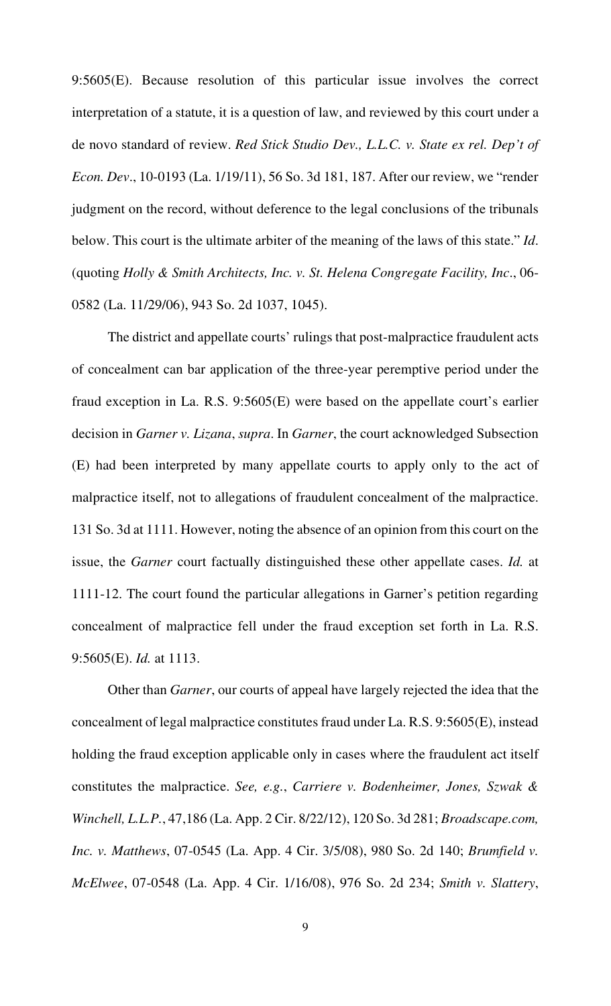9:5605(E). Because resolution of this particular issue involves the correct interpretation of a statute, it is a question of law, and reviewed by this court under a de novo standard of review. *Red Stick Studio Dev., L.L.C. v. State ex rel. Dep't of Econ. Dev*., 10-0193 (La. 1/19/11), 56 So. 3d 181, 187. After our review, we "render judgment on the record, without deference to the legal conclusions of the tribunals below. This court is the ultimate arbiter of the meaning of the laws of this state." *Id*. (quoting *Holly & Smith Architects, Inc. v. St. Helena Congregate Facility, Inc*., 06- 0582 (La. 11/29/06), 943 So. 2d 1037, 1045).

The district and appellate courts' rulings that post-malpractice fraudulent acts of concealment can bar application of the three-year peremptive period under the fraud exception in La. R.S. 9:5605(E) were based on the appellate court's earlier decision in *Garner v. Lizana*, *supra*. In *Garner*, the court acknowledged Subsection (E) had been interpreted by many appellate courts to apply only to the act of malpractice itself, not to allegations of fraudulent concealment of the malpractice. 131 So. 3d at 1111. However, noting the absence of an opinion from this court on the issue, the *Garner* court factually distinguished these other appellate cases. *Id.* at 1111-12. The court found the particular allegations in Garner's petition regarding concealment of malpractice fell under the fraud exception set forth in La. R.S. 9:5605(E). *Id.* at 1113.

Other than *Garner*, our courts of appeal have largely rejected the idea that the concealment of legal malpractice constitutes fraud under La. R.S. 9:5605(E), instead holding the fraud exception applicable only in cases where the fraudulent act itself constitutes the malpractice. *See, e.g.*, *Carriere v. Bodenheimer, Jones, Szwak & Winchell, L.L.P.*, 47,186 (La. App. 2 Cir. 8/22/12), 120 So. 3d 281; *Broadscape.com, Inc. v. Matthews*, 07-0545 (La. App. 4 Cir. 3/5/08), 980 So. 2d 140; *Brumfield v. McElwee*, 07-0548 (La. App. 4 Cir. 1/16/08), 976 So. 2d 234; *Smith v. Slattery*,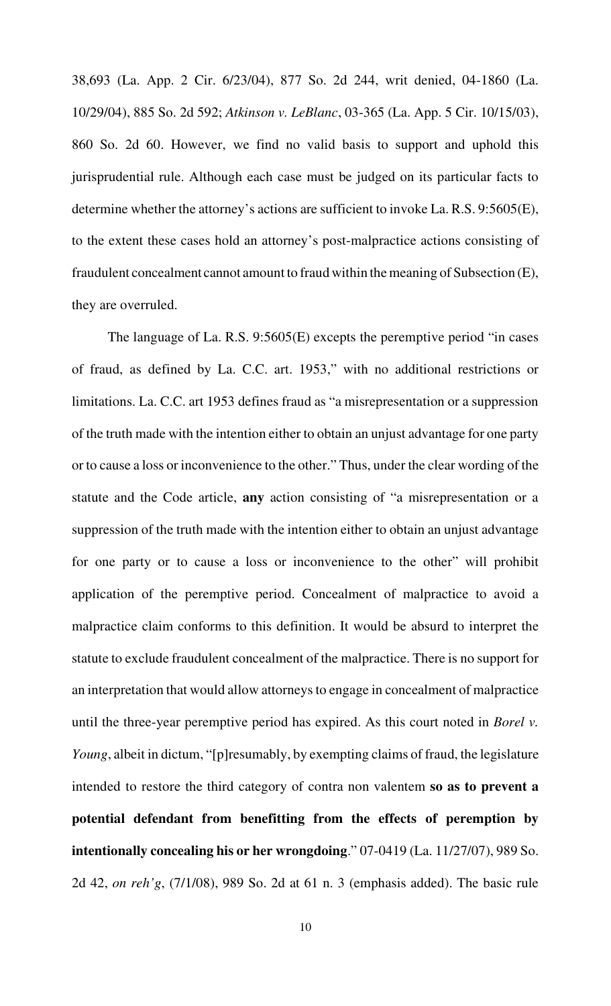38,693 (La. App. 2 Cir. 6/23/04), 877 So. 2d 244, writ denied, 04-1860 (La. 10/29/04), 885 So. 2d 592; *Atkinson v. LeBlanc*, 03-365 (La. App. 5 Cir. 10/15/03), 860 So. 2d 60. However, we find no valid basis to support and uphold this jurisprudential rule. Although each case must be judged on its particular facts to determine whether the attorney's actions are sufficient to invoke La. R.S. 9:5605(E), to the extent these cases hold an attorney's post-malpractice actions consisting of fraudulent concealment cannot amount to fraud within the meaning of Subsection (E), they are overruled.

The language of La. R.S. 9:5605(E) excepts the peremptive period "in cases of fraud, as defined by La. C.C. art. 1953," with no additional restrictions or limitations. La. C.C. art 1953 defines fraud as "a misrepresentation or a suppression of the truth made with the intention either to obtain an unjust advantage for one party or to cause a loss or inconvenience to the other." Thus, under the clear wording of the statute and the Code article, **any** action consisting of "a misrepresentation or a suppression of the truth made with the intention either to obtain an unjust advantage for one party or to cause a loss or inconvenience to the other" will prohibit application of the peremptive period. Concealment of malpractice to avoid a malpractice claim conforms to this definition. It would be absurd to interpret the statute to exclude fraudulent concealment of the malpractice. There is no support for an interpretation that would allow attorneys to engage in concealment of malpractice until the three-year peremptive period has expired. As this court noted in *Borel v. Young*, albeit in dictum, "[p]resumably, by exempting claims of fraud, the legislature intended to restore the third category of contra non valentem **so as to prevent a potential defendant from benefitting from the effects of peremption by intentionally concealing his or her wrongdoing**." 07-0419 (La. 11/27/07), 989 So. 2d 42, *on reh'g*, (7/1/08), 989 So. 2d at 61 n. 3 (emphasis added). The basic rule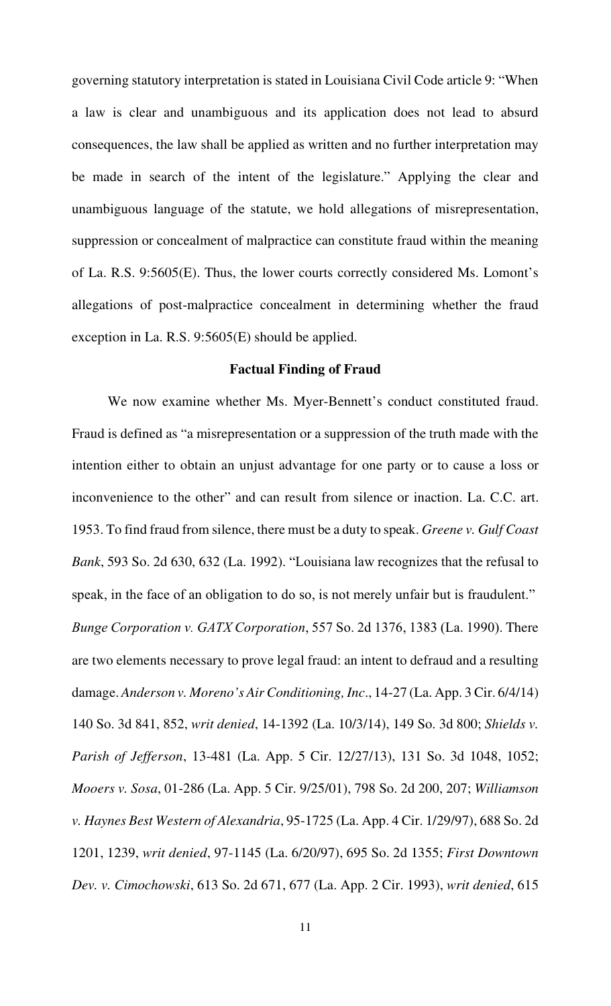governing statutory interpretation is stated in Louisiana Civil Code article 9: "When a law is clear and unambiguous and its application does not lead to absurd consequences, the law shall be applied as written and no further interpretation may be made in search of the intent of the legislature." Applying the clear and unambiguous language of the statute, we hold allegations of misrepresentation, suppression or concealment of malpractice can constitute fraud within the meaning of La. R.S. 9:5605(E). Thus, the lower courts correctly considered Ms. Lomont's allegations of post-malpractice concealment in determining whether the fraud exception in La. R.S. 9:5605(E) should be applied.

#### **Factual Finding of Fraud**

We now examine whether Ms. Myer-Bennett's conduct constituted fraud. Fraud is defined as "a misrepresentation or a suppression of the truth made with the intention either to obtain an unjust advantage for one party or to cause a loss or inconvenience to the other" and can result from silence or inaction. La. C.C. art. 1953. To find fraud from silence, there must be a duty to speak. *Greene v. Gulf Coast Bank*, 593 So. 2d 630, 632 (La. 1992). "Louisiana law recognizes that the refusal to speak, in the face of an obligation to do so, is not merely unfair but is fraudulent." *Bunge Corporation v. GATX Corporation*, 557 So. 2d 1376, 1383 (La. 1990). There are two elements necessary to prove legal fraud: an intent to defraud and a resulting damage. *Anderson v. Moreno's Air Conditioning, Inc*., 14-27 (La. App. 3 Cir. 6/4/14) 140 So. 3d 841, 852, *writ denied*, 14-1392 (La. 10/3/14), 149 So. 3d 800; *Shields v. Parish of Jefferson*, 13-481 (La. App. 5 Cir. 12/27/13), 131 So. 3d 1048, 1052; *Mooers v. Sosa*, 01-286 (La. App. 5 Cir. 9/25/01), 798 So. 2d 200, 207; *Williamson v. Haynes Best Western of Alexandria*, 95-1725 (La. App. 4 Cir. 1/29/97), 688 So. 2d 1201, 1239, *writ denied*, 97-1145 (La. 6/20/97), 695 So. 2d 1355; *First Downtown Dev. v. Cimochowski*, 613 So. 2d 671, 677 (La. App. 2 Cir. 1993), *writ denied*, 615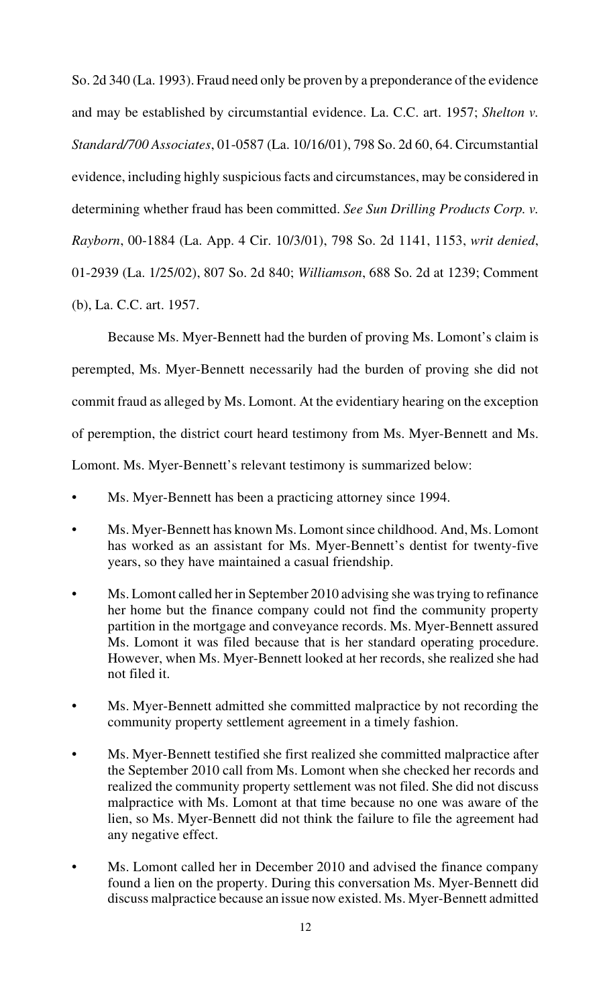So. 2d 340 (La. 1993). Fraud need only be proven by a preponderance of the evidence and may be established by circumstantial evidence. La. C.C. art. 1957; *Shelton v. Standard/700 Associates*, 01-0587 (La. 10/16/01), 798 So. 2d 60, 64. Circumstantial evidence, including highly suspicious facts and circumstances, may be considered in determining whether fraud has been committed. *See Sun Drilling Products Corp. v. Rayborn*, 00-1884 (La. App. 4 Cir. 10/3/01), 798 So. 2d 1141, 1153, *writ denied*, 01-2939 (La. 1/25/02), 807 So. 2d 840; *Williamson*, 688 So. 2d at 1239; Comment (b), La. C.C. art. 1957.

Because Ms. Myer-Bennett had the burden of proving Ms. Lomont's claim is perempted, Ms. Myer-Bennett necessarily had the burden of proving she did not commit fraud as alleged by Ms. Lomont. At the evidentiary hearing on the exception of peremption, the district court heard testimony from Ms. Myer-Bennett and Ms. Lomont. Ms. Myer-Bennett's relevant testimony is summarized below:

- Ms. Myer-Bennett has been a practicing attorney since 1994.
- Ms. Myer-Bennett has known Ms. Lomont since childhood. And, Ms. Lomont has worked as an assistant for Ms. Myer-Bennett's dentist for twenty-five years, so they have maintained a casual friendship.
- Ms. Lomont called her in September 2010 advising she was trying to refinance her home but the finance company could not find the community property partition in the mortgage and conveyance records. Ms. Myer-Bennett assured Ms. Lomont it was filed because that is her standard operating procedure. However, when Ms. Myer-Bennett looked at her records, she realized she had not filed it.
- Ms. Myer-Bennett admitted she committed malpractice by not recording the community property settlement agreement in a timely fashion.
- Ms. Myer-Bennett testified she first realized she committed malpractice after the September 2010 call from Ms. Lomont when she checked her records and realized the community property settlement was not filed. She did not discuss malpractice with Ms. Lomont at that time because no one was aware of the lien, so Ms. Myer-Bennett did not think the failure to file the agreement had any negative effect.
- Ms. Lomont called her in December 2010 and advised the finance company found a lien on the property. During this conversation Ms. Myer-Bennett did discuss malpractice because an issue now existed. Ms. Myer-Bennett admitted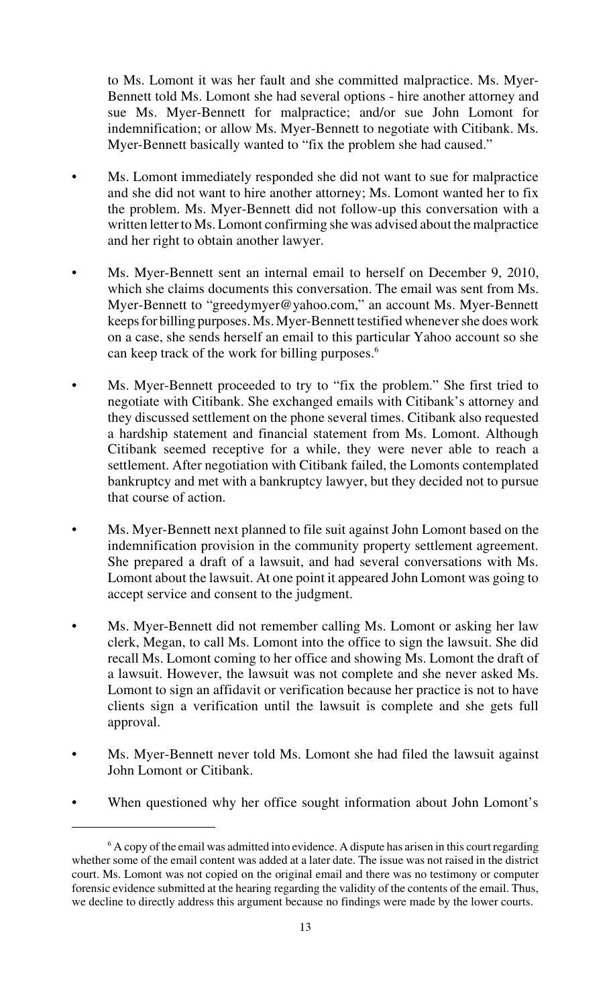to Ms. Lomont it was her fault and she committed malpractice. Ms. Myer-Bennett told Ms. Lomont she had several options - hire another attorney and sue Ms. Myer-Bennett for malpractice; and/or sue John Lomont for indemnification; or allow Ms. Myer-Bennett to negotiate with Citibank. Ms. Myer-Bennett basically wanted to "fix the problem she had caused."

- Ms. Lomont immediately responded she did not want to sue for malpractice and she did not want to hire another attorney; Ms. Lomont wanted her to fix the problem. Ms. Myer-Bennett did not follow-up this conversation with a written letter to Ms. Lomont confirming she was advised about the malpractice and her right to obtain another lawyer.
- Ms. Myer-Bennett sent an internal email to herself on December 9, 2010, which she claims documents this conversation. The email was sent from Ms. Myer-Bennett to "greedymyer@yahoo.com," an account Ms. Myer-Bennett keeps for billing purposes. Ms. Myer-Bennett testified whenever she does work on a case, she sends herself an email to this particular Yahoo account so she can keep track of the work for billing purposes.<sup>6</sup>
- Ms. Myer-Bennett proceeded to try to "fix the problem." She first tried to negotiate with Citibank. She exchanged emails with Citibank's attorney and they discussed settlement on the phone several times. Citibank also requested a hardship statement and financial statement from Ms. Lomont. Although Citibank seemed receptive for a while, they were never able to reach a settlement. After negotiation with Citibank failed, the Lomonts contemplated bankruptcy and met with a bankruptcy lawyer, but they decided not to pursue that course of action.
- Ms. Myer-Bennett next planned to file suit against John Lomont based on the indemnification provision in the community property settlement agreement. She prepared a draft of a lawsuit, and had several conversations with Ms. Lomont about the lawsuit. At one point it appeared John Lomont was going to accept service and consent to the judgment.
- Ms. Myer-Bennett did not remember calling Ms. Lomont or asking her law clerk, Megan, to call Ms. Lomont into the office to sign the lawsuit. She did recall Ms. Lomont coming to her office and showing Ms. Lomont the draft of a lawsuit. However, the lawsuit was not complete and she never asked Ms. Lomont to sign an affidavit or verification because her practice is not to have clients sign a verification until the lawsuit is complete and she gets full approval.
- Ms. Myer-Bennett never told Ms. Lomont she had filed the lawsuit against John Lomont or Citibank.
- When questioned why her office sought information about John Lomont's

 $6$  A copy of the email was admitted into evidence. A dispute has arisen in this court regarding whether some of the email content was added at a later date. The issue was not raised in the district court. Ms. Lomont was not copied on the original email and there was no testimony or computer forensic evidence submitted at the hearing regarding the validity of the contents of the email. Thus, we decline to directly address this argument because no findings were made by the lower courts.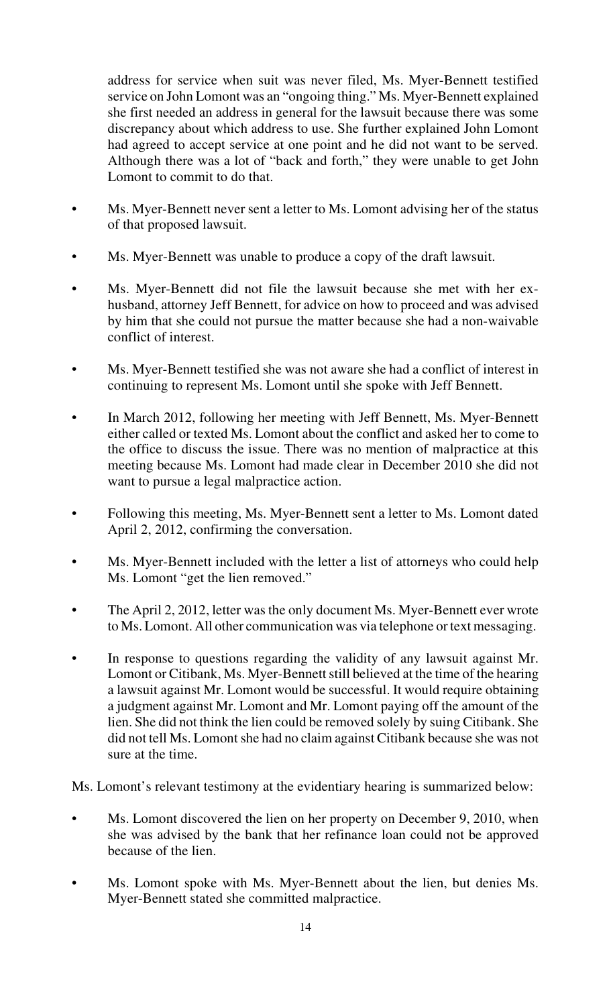address for service when suit was never filed, Ms. Myer-Bennett testified service on John Lomont was an "ongoing thing." Ms. Myer-Bennett explained she first needed an address in general for the lawsuit because there was some discrepancy about which address to use. She further explained John Lomont had agreed to accept service at one point and he did not want to be served. Although there was a lot of "back and forth," they were unable to get John Lomont to commit to do that.

- Ms. Myer-Bennett never sent a letter to Ms. Lomont advising her of the status of that proposed lawsuit.
- Ms. Myer-Bennett was unable to produce a copy of the draft lawsuit.
- Ms. Myer-Bennett did not file the lawsuit because she met with her exhusband, attorney Jeff Bennett, for advice on how to proceed and was advised by him that she could not pursue the matter because she had a non-waivable conflict of interest.
- Ms. Myer-Bennett testified she was not aware she had a conflict of interest in continuing to represent Ms. Lomont until she spoke with Jeff Bennett.
- In March 2012, following her meeting with Jeff Bennett, Ms. Myer-Bennett either called or texted Ms. Lomont about the conflict and asked her to come to the office to discuss the issue. There was no mention of malpractice at this meeting because Ms. Lomont had made clear in December 2010 she did not want to pursue a legal malpractice action.
- Following this meeting, Ms. Myer-Bennett sent a letter to Ms. Lomont dated April 2, 2012, confirming the conversation.
- Ms. Myer-Bennett included with the letter a list of attorneys who could help Ms. Lomont "get the lien removed."
- The April 2, 2012, letter was the only document Ms. Myer-Bennett ever wrote to Ms. Lomont. All other communication was via telephone or text messaging.
- In response to questions regarding the validity of any lawsuit against Mr. Lomont or Citibank, Ms. Myer-Bennett still believed at the time of the hearing a lawsuit against Mr. Lomont would be successful. It would require obtaining a judgment against Mr. Lomont and Mr. Lomont paying off the amount of the lien. She did not think the lien could be removed solely by suing Citibank. She did not tell Ms. Lomont she had no claim against Citibank because she was not sure at the time.

Ms. Lomont's relevant testimony at the evidentiary hearing is summarized below:

- Ms. Lomont discovered the lien on her property on December 9, 2010, when she was advised by the bank that her refinance loan could not be approved because of the lien.
- Ms. Lomont spoke with Ms. Myer-Bennett about the lien, but denies Ms. Myer-Bennett stated she committed malpractice.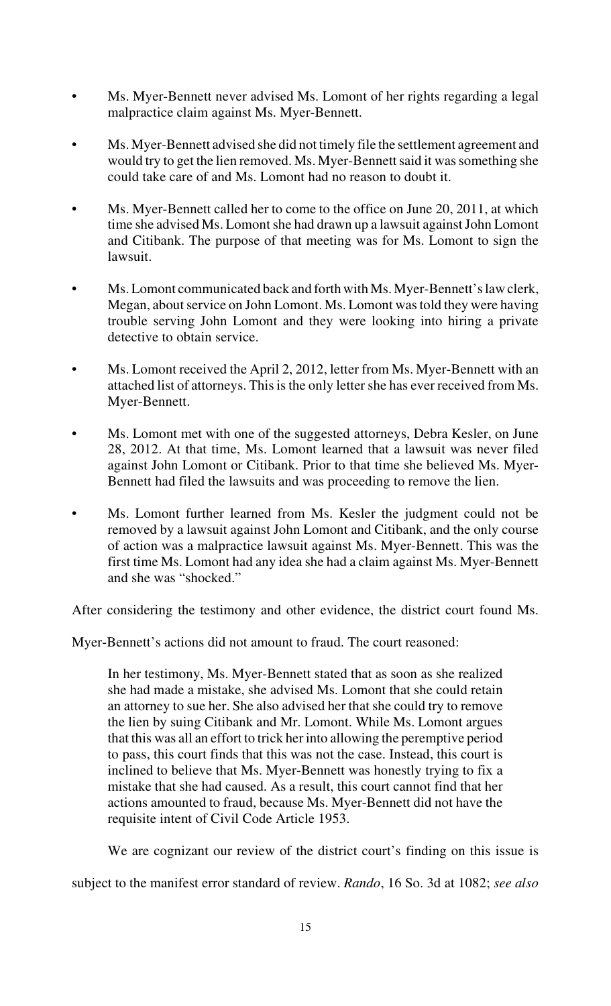- Ms. Myer-Bennett never advised Ms. Lomont of her rights regarding a legal malpractice claim against Ms. Myer-Bennett.
- Ms. Myer-Bennett advised she did not timely file the settlement agreement and would try to get the lien removed. Ms. Myer-Bennett said it was something she could take care of and Ms. Lomont had no reason to doubt it.
- Ms. Myer-Bennett called her to come to the office on June 20, 2011, at which time she advised Ms. Lomont she had drawn up a lawsuit against John Lomont and Citibank. The purpose of that meeting was for Ms. Lomont to sign the lawsuit.
- Ms. Lomont communicated back and forth with Ms. Myer-Bennett's law clerk, Megan, about service on John Lomont. Ms. Lomont was told they were having trouble serving John Lomont and they were looking into hiring a private detective to obtain service.
- Ms. Lomont received the April 2, 2012, letter from Ms. Myer-Bennett with an attached list of attorneys. This is the only letter she has ever received from Ms. Myer-Bennett.
- Ms. Lomont met with one of the suggested attorneys, Debra Kesler, on June 28, 2012. At that time, Ms. Lomont learned that a lawsuit was never filed against John Lomont or Citibank. Prior to that time she believed Ms. Myer-Bennett had filed the lawsuits and was proceeding to remove the lien.
- Ms. Lomont further learned from Ms. Kesler the judgment could not be removed by a lawsuit against John Lomont and Citibank, and the only course of action was a malpractice lawsuit against Ms. Myer-Bennett. This was the first time Ms. Lomont had any idea she had a claim against Ms. Myer-Bennett and she was "shocked."

After considering the testimony and other evidence, the district court found Ms.

Myer-Bennett's actions did not amount to fraud. The court reasoned:

In her testimony, Ms. Myer-Bennett stated that as soon as she realized she had made a mistake, she advised Ms. Lomont that she could retain an attorney to sue her. She also advised her that she could try to remove the lien by suing Citibank and Mr. Lomont. While Ms. Lomont argues that this was all an effort to trick her into allowing the peremptive period to pass, this court finds that this was not the case. Instead, this court is inclined to believe that Ms. Myer-Bennett was honestly trying to fix a mistake that she had caused. As a result, this court cannot find that her actions amounted to fraud, because Ms. Myer-Bennett did not have the requisite intent of Civil Code Article 1953.

We are cognizant our review of the district court's finding on this issue is

subject to the manifest error standard of review. *Rando*, 16 So. 3d at 1082; *see also*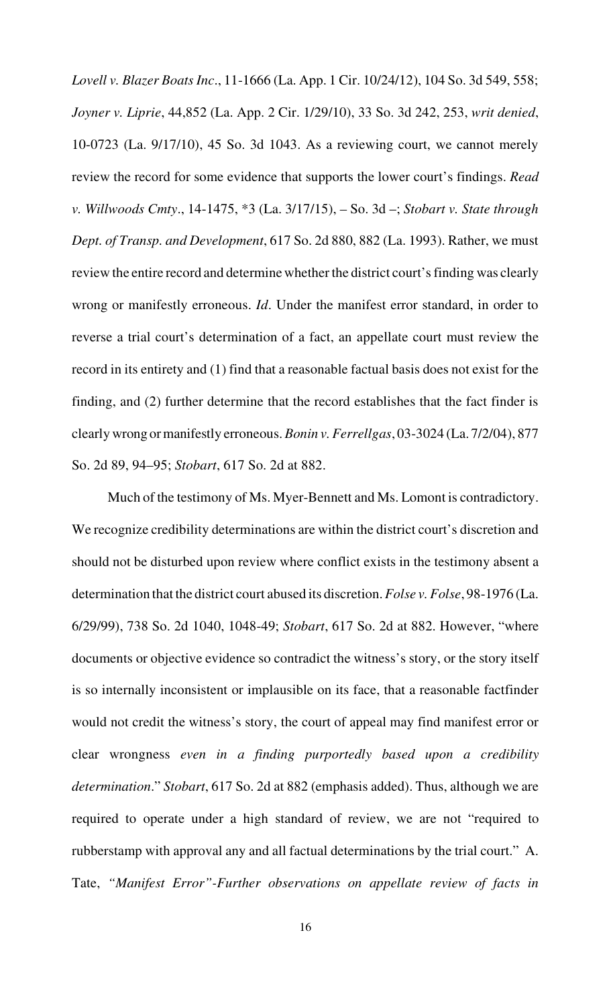*Lovell v. Blazer Boats Inc*., 11-1666 (La. App. 1 Cir. 10/24/12), 104 So. 3d 549, 558; *Joyner v. Liprie*, 44,852 (La. App. 2 Cir. 1/29/10), 33 So. 3d 242, 253, *writ denied*, 10-0723 (La. 9/17/10), 45 So. 3d 1043. As a reviewing court, we cannot merely review the record for some evidence that supports the lower court's findings. *Read v. Willwoods Cmty*., 14-1475, \*3 (La. 3/17/15), *–* So. 3d –; *Stobart v. State through Dept. of Transp. and Development*, 617 So. 2d 880, 882 (La. 1993). Rather, we must review the entire record and determine whether the district court's finding was clearly wrong or manifestly erroneous. *Id*. Under the manifest error standard, in order to reverse a trial court's determination of a fact, an appellate court must review the record in its entirety and (1) find that a reasonable factual basis does not exist for the finding, and (2) further determine that the record establishes that the fact finder is clearly wrong or manifestly erroneous. *Bonin v. Ferrellgas*, 03-3024 (La. 7/2/04), 877 So. 2d 89, 94–95; *Stobart*, 617 So. 2d at 882.

Much of the testimony of Ms. Myer-Bennett and Ms. Lomont is contradictory. We recognize credibility determinations are within the district court's discretion and should not be disturbed upon review where conflict exists in the testimony absent a determination that the district court abused its discretion. *Folse v. Folse*, 98-1976 (La. 6/29/99), 738 So. 2d 1040, 1048-49; *Stobart*, 617 So. 2d at 882. However, "where documents or objective evidence so contradict the witness's story, or the story itself is so internally inconsistent or implausible on its face, that a reasonable factfinder would not credit the witness's story, the court of appeal may find manifest error or clear wrongness *even in a finding purportedly based upon a credibility determination*." *Stobart*, 617 So. 2d at 882 (emphasis added). Thus, although we are required to operate under a high standard of review, we are not "required to rubberstamp with approval any and all factual determinations by the trial court." A. Tate, *"Manifest Error"-Further observations on appellate review of facts in*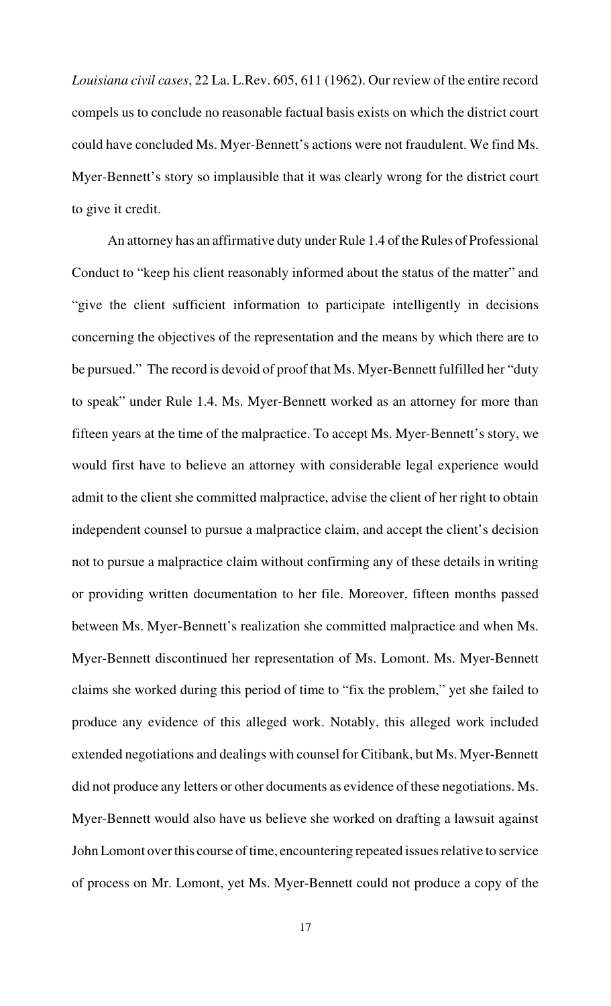*Louisiana civil cases*, 22 La. L.Rev. 605, 611 (1962). Our review of the entire record compels us to conclude no reasonable factual basis exists on which the district court could have concluded Ms. Myer-Bennett's actions were not fraudulent. We find Ms. Myer-Bennett's story so implausible that it was clearly wrong for the district court to give it credit.

An attorney has an affirmative duty under Rule 1.4 of the Rules of Professional Conduct to "keep his client reasonably informed about the status of the matter" and "give the client sufficient information to participate intelligently in decisions concerning the objectives of the representation and the means by which there are to be pursued." The record is devoid of proof that Ms. Myer-Bennett fulfilled her "duty to speak" under Rule 1.4. Ms. Myer-Bennett worked as an attorney for more than fifteen years at the time of the malpractice. To accept Ms. Myer-Bennett's story, we would first have to believe an attorney with considerable legal experience would admit to the client she committed malpractice, advise the client of her right to obtain independent counsel to pursue a malpractice claim, and accept the client's decision not to pursue a malpractice claim without confirming any of these details in writing or providing written documentation to her file. Moreover, fifteen months passed between Ms. Myer-Bennett's realization she committed malpractice and when Ms. Myer-Bennett discontinued her representation of Ms. Lomont. Ms. Myer-Bennett claims she worked during this period of time to "fix the problem," yet she failed to produce any evidence of this alleged work. Notably, this alleged work included extended negotiations and dealings with counsel for Citibank, but Ms. Myer-Bennett did not produce any letters or other documents as evidence of these negotiations. Ms. Myer-Bennett would also have us believe she worked on drafting a lawsuit against John Lomont over this course of time, encountering repeated issues relative to service of process on Mr. Lomont, yet Ms. Myer-Bennett could not produce a copy of the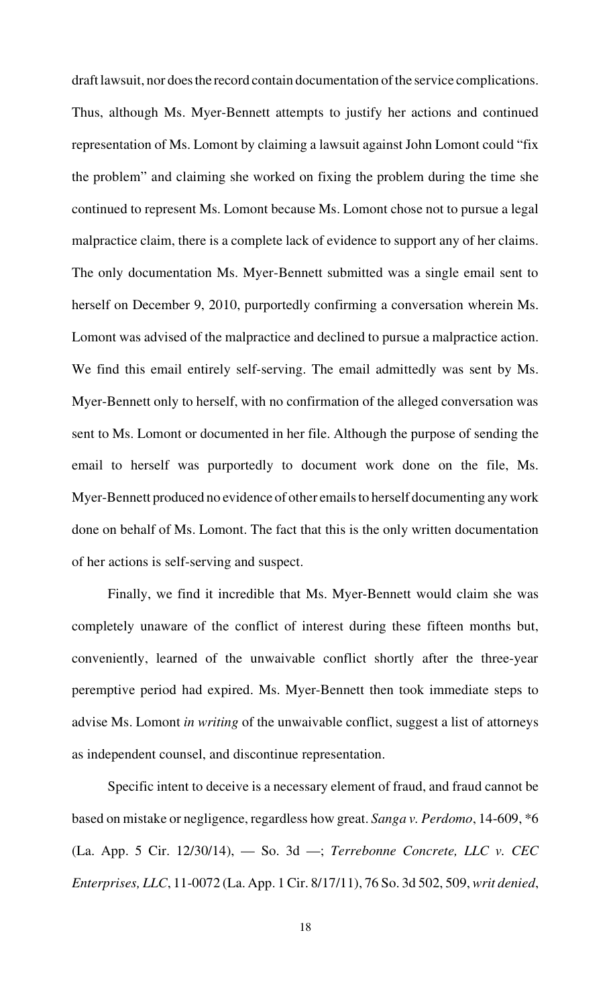draft lawsuit, nor does the record contain documentation of the service complications. Thus, although Ms. Myer-Bennett attempts to justify her actions and continued representation of Ms. Lomont by claiming a lawsuit against John Lomont could "fix the problem" and claiming she worked on fixing the problem during the time she continued to represent Ms. Lomont because Ms. Lomont chose not to pursue a legal malpractice claim, there is a complete lack of evidence to support any of her claims. The only documentation Ms. Myer-Bennett submitted was a single email sent to herself on December 9, 2010, purportedly confirming a conversation wherein Ms. Lomont was advised of the malpractice and declined to pursue a malpractice action. We find this email entirely self-serving. The email admittedly was sent by Ms. Myer-Bennett only to herself, with no confirmation of the alleged conversation was sent to Ms. Lomont or documented in her file. Although the purpose of sending the email to herself was purportedly to document work done on the file, Ms. Myer-Bennett produced no evidence of other emails to herself documenting any work done on behalf of Ms. Lomont. The fact that this is the only written documentation of her actions is self-serving and suspect.

Finally, we find it incredible that Ms. Myer-Bennett would claim she was completely unaware of the conflict of interest during these fifteen months but, conveniently, learned of the unwaivable conflict shortly after the three-year peremptive period had expired. Ms. Myer-Bennett then took immediate steps to advise Ms. Lomont *in writing* of the unwaivable conflict, suggest a list of attorneys as independent counsel, and discontinue representation.

Specific intent to deceive is a necessary element of fraud, and fraud cannot be based on mistake or negligence, regardless how great. *Sanga v. Perdomo*, 14-609, \*6 (La. App. 5 Cir. 12/30/14), — So. 3d —; *Terrebonne Concrete, LLC v. CEC Enterprises, LLC*, 11-0072 (La. App. 1 Cir. 8/17/11), 76 So. 3d 502, 509, *writ denied*,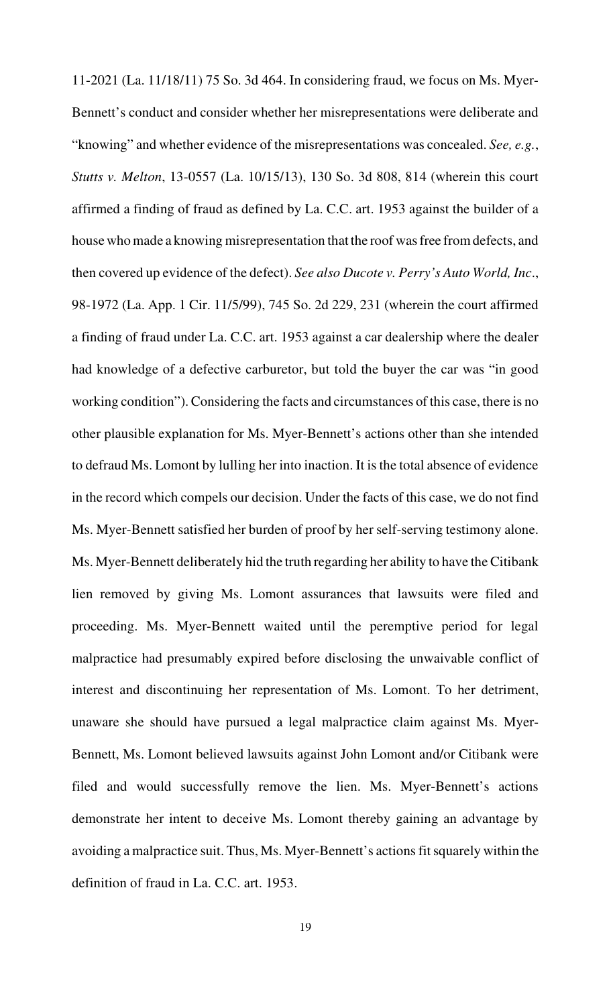11-2021 (La. 11/18/11) 75 So. 3d 464. In considering fraud, we focus on Ms. Myer-Bennett's conduct and consider whether her misrepresentations were deliberate and "knowing" and whether evidence of the misrepresentations was concealed. *See, e.g.*, *Stutts v. Melton*, 13-0557 (La. 10/15/13), 130 So. 3d 808, 814 (wherein this court affirmed a finding of fraud as defined by La. C.C. art. 1953 against the builder of a house who made a knowing misrepresentation that the roof was free from defects, and then covered up evidence of the defect). *See also Ducote v. Perry's Auto World, Inc*., 98-1972 (La. App. 1 Cir. 11/5/99), 745 So. 2d 229, 231 (wherein the court affirmed a finding of fraud under La. C.C. art. 1953 against a car dealership where the dealer had knowledge of a defective carburetor, but told the buyer the car was "in good working condition"). Considering the facts and circumstances of this case, there is no other plausible explanation for Ms. Myer-Bennett's actions other than she intended to defraud Ms. Lomont by lulling her into inaction. It is the total absence of evidence in the record which compels our decision. Under the facts of this case, we do not find Ms. Myer-Bennett satisfied her burden of proof by her self-serving testimony alone. Ms. Myer-Bennett deliberately hid the truth regarding her ability to have the Citibank lien removed by giving Ms. Lomont assurances that lawsuits were filed and proceeding. Ms. Myer-Bennett waited until the peremptive period for legal malpractice had presumably expired before disclosing the unwaivable conflict of interest and discontinuing her representation of Ms. Lomont. To her detriment, unaware she should have pursued a legal malpractice claim against Ms. Myer-Bennett, Ms. Lomont believed lawsuits against John Lomont and/or Citibank were filed and would successfully remove the lien. Ms. Myer-Bennett's actions demonstrate her intent to deceive Ms. Lomont thereby gaining an advantage by avoiding a malpractice suit. Thus, Ms. Myer-Bennett's actions fit squarely within the definition of fraud in La. C.C. art. 1953.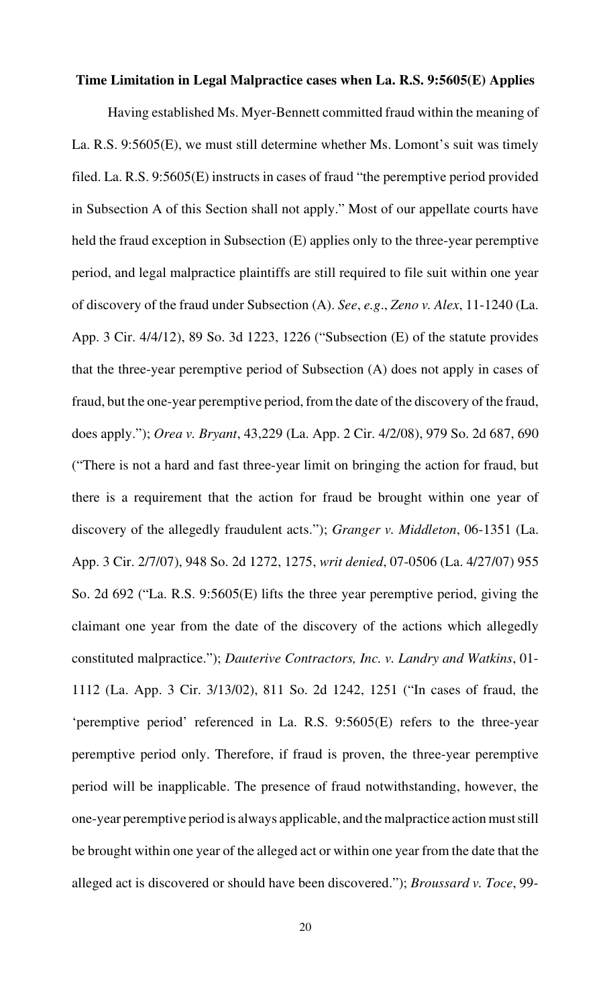### **Time Limitation in Legal Malpractice cases when La. R.S. 9:5605(E) Applies**

Having established Ms. Myer-Bennett committed fraud within the meaning of La. R.S. 9:5605(E), we must still determine whether Ms. Lomont's suit was timely filed. La. R.S. 9:5605(E) instructs in cases of fraud "the peremptive period provided in Subsection A of this Section shall not apply." Most of our appellate courts have held the fraud exception in Subsection (E) applies only to the three-year peremptive period, and legal malpractice plaintiffs are still required to file suit within one year of discovery of the fraud under Subsection (A). *See*, *e.g*., *Zeno v. Alex*, 11-1240 (La. App. 3 Cir. 4/4/12), 89 So. 3d 1223, 1226 ("Subsection (E) of the statute provides that the three-year peremptive period of Subsection (A) does not apply in cases of fraud, but the one-year peremptive period, from the date of the discovery of the fraud, does apply."); *Orea v. Bryant*, 43,229 (La. App. 2 Cir. 4/2/08), 979 So. 2d 687, 690 ("There is not a hard and fast three-year limit on bringing the action for fraud, but there is a requirement that the action for fraud be brought within one year of discovery of the allegedly fraudulent acts."); *Granger v. Middleton*, 06-1351 (La. App. 3 Cir. 2/7/07), 948 So. 2d 1272, 1275, *writ denied*, 07-0506 (La. 4/27/07) 955 So. 2d 692 ("La. R.S. 9:5605(E) lifts the three year peremptive period, giving the claimant one year from the date of the discovery of the actions which allegedly constituted malpractice."); *Dauterive Contractors, Inc. v. Landry and Watkins*, 01- 1112 (La. App. 3 Cir. 3/13/02), 811 So. 2d 1242, 1251 ("In cases of fraud, the 'peremptive period' referenced in La. R.S. 9:5605(E) refers to the three-year peremptive period only. Therefore, if fraud is proven, the three-year peremptive period will be inapplicable. The presence of fraud notwithstanding, however, the one-year peremptive period is always applicable, and the malpractice action must still be brought within one year of the alleged act or within one year from the date that the alleged act is discovered or should have been discovered."); *Broussard v. Toce*, 99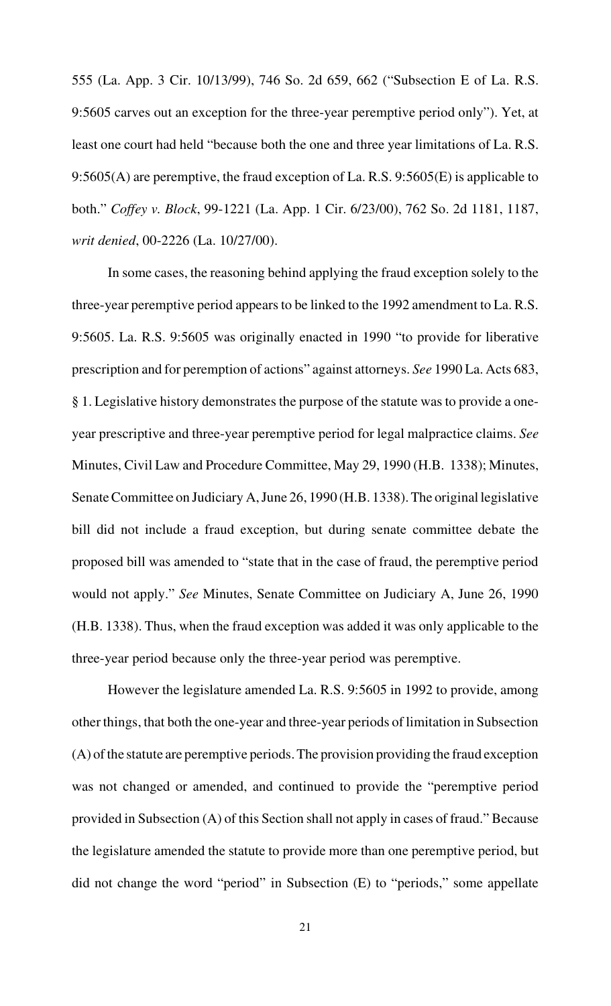555 (La. App. 3 Cir. 10/13/99), 746 So. 2d 659, 662 ("Subsection E of La. R.S. 9:5605 carves out an exception for the three-year peremptive period only"). Yet, at least one court had held "because both the one and three year limitations of La. R.S. 9:5605(A) are peremptive, the fraud exception of La. R.S. 9:5605(E) is applicable to both." *Coffey v. Block*, 99-1221 (La. App. 1 Cir. 6/23/00), 762 So. 2d 1181, 1187, *writ denied*, 00-2226 (La. 10/27/00).

In some cases, the reasoning behind applying the fraud exception solely to the three-year peremptive period appears to be linked to the 1992 amendment to La. R.S. 9:5605. La. R.S. 9:5605 was originally enacted in 1990 "to provide for liberative prescription and for peremption of actions" against attorneys. *See* 1990 La. Acts 683, § 1. Legislative history demonstrates the purpose of the statute was to provide a oneyear prescriptive and three-year peremptive period for legal malpractice claims. *See* Minutes, Civil Law and Procedure Committee, May 29, 1990 (H.B. 1338); Minutes, Senate Committee on Judiciary A, June 26, 1990 (H.B. 1338). The original legislative bill did not include a fraud exception, but during senate committee debate the proposed bill was amended to "state that in the case of fraud, the peremptive period would not apply." *See* Minutes, Senate Committee on Judiciary A, June 26, 1990 (H.B. 1338). Thus, when the fraud exception was added it was only applicable to the three-year period because only the three-year period was peremptive.

However the legislature amended La. R.S. 9:5605 in 1992 to provide, among other things, that both the one-year and three-year periods of limitation in Subsection (A) of the statute are peremptive periods. The provision providing the fraud exception was not changed or amended, and continued to provide the "peremptive period provided in Subsection (A) of this Section shall not apply in cases of fraud." Because the legislature amended the statute to provide more than one peremptive period, but did not change the word "period" in Subsection (E) to "periods," some appellate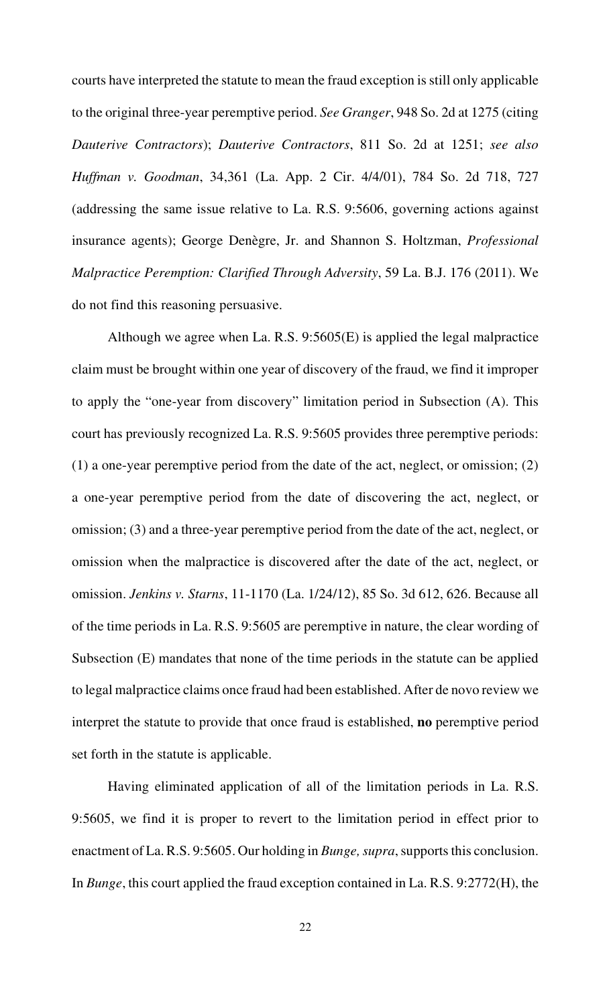courts have interpreted the statute to mean the fraud exception is still only applicable to the original three-year peremptive period. *See Granger*, 948 So. 2d at 1275 (citing *Dauterive Contractors*); *Dauterive Contractors*, 811 So. 2d at 1251; *see also Huffman v. Goodman*, 34,361 (La. App. 2 Cir. 4/4/01), 784 So. 2d 718, 727 (addressing the same issue relative to La. R.S. 9:5606, governing actions against insurance agents); George Denègre, Jr. and Shannon S. Holtzman, *Professional Malpractice Peremption: Clarified Through Adversity*, 59 La. B.J. 176 (2011). We do not find this reasoning persuasive.

Although we agree when La. R.S. 9:5605(E) is applied the legal malpractice claim must be brought within one year of discovery of the fraud, we find it improper to apply the "one-year from discovery" limitation period in Subsection (A). This court has previously recognized La. R.S. 9:5605 provides three peremptive periods: (1) a one-year peremptive period from the date of the act, neglect, or omission; (2) a one-year peremptive period from the date of discovering the act, neglect, or omission; (3) and a three-year peremptive period from the date of the act, neglect, or omission when the malpractice is discovered after the date of the act, neglect, or omission. *Jenkins v. Starns*, 11-1170 (La. 1/24/12), 85 So. 3d 612, 626. Because all of the time periods in La. R.S. 9:5605 are peremptive in nature, the clear wording of Subsection (E) mandates that none of the time periods in the statute can be applied to legal malpractice claims once fraud had been established. After de novo review we interpret the statute to provide that once fraud is established, **no** peremptive period set forth in the statute is applicable.

Having eliminated application of all of the limitation periods in La. R.S. 9:5605, we find it is proper to revert to the limitation period in effect prior to enactment of La. R.S. 9:5605. Our holding in *Bunge, supra*, supports this conclusion. In *Bunge*, this court applied the fraud exception contained in La. R.S. 9:2772(H), the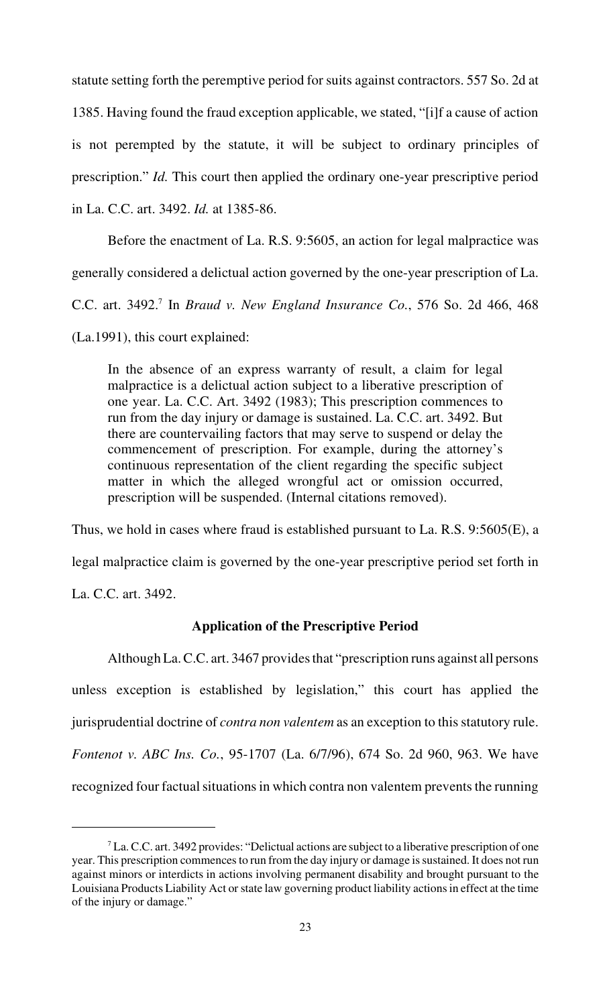statute setting forth the peremptive period for suits against contractors. 557 So. 2d at 1385. Having found the fraud exception applicable, we stated, "[i]f a cause of action is not perempted by the statute, it will be subject to ordinary principles of prescription." *Id.* This court then applied the ordinary one-year prescriptive period in La. C.C. art. 3492. *Id.* at 1385-86.

Before the enactment of La. R.S. 9:5605, an action for legal malpractice was generally considered a delictual action governed by the one-year prescription of La. C.C. art. 3492.<sup>7</sup> In *Braud v. New England Insurance Co.*, 576 So. 2d 466, 468 (La.1991), this court explained:

In the absence of an express warranty of result, a claim for legal malpractice is a delictual action subject to a liberative prescription of one year. La. C.C. Art. 3492 (1983); This prescription commences to run from the day injury or damage is sustained. La. C.C. art. 3492. But there are countervailing factors that may serve to suspend or delay the commencement of prescription. For example, during the attorney's continuous representation of the client regarding the specific subject matter in which the alleged wrongful act or omission occurred, prescription will be suspended. (Internal citations removed).

Thus, we hold in cases where fraud is established pursuant to La. R.S. 9:5605(E), a legal malpractice claim is governed by the one-year prescriptive period set forth in La. C.C. art. 3492.

## **Application of the Prescriptive Period**

Although La. C.C. art. 3467 provides that "prescription runs against all persons unless exception is established by legislation," this court has applied the jurisprudential doctrine of *contra non valentem* as an exception to this statutory rule. *Fontenot v. ABC Ins. Co.*, 95-1707 (La. 6/7/96), 674 So. 2d 960, 963. We have recognized four factual situations in which contra non valentem prevents the running

 ${}^{7}$  La. C.C. art. 3492 provides: "Delictual actions are subject to a liberative prescription of one year. This prescription commences to run from the day injury or damage is sustained. It does not run against minors or interdicts in actions involving permanent disability and brought pursuant to the Louisiana Products Liability Act or state law governing product liability actions in effect at the time of the injury or damage."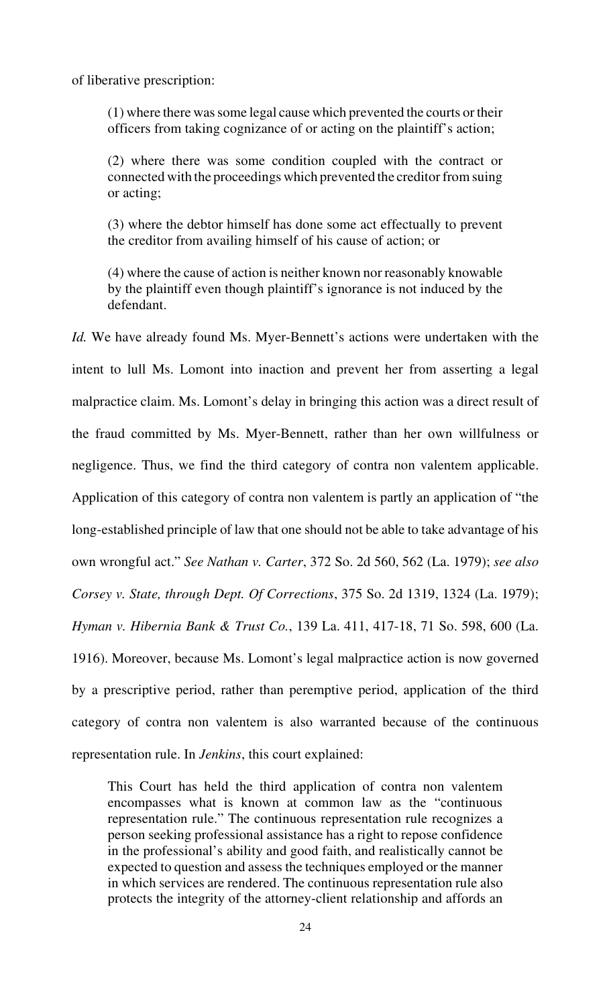of liberative prescription:

(1) where there was some legal cause which prevented the courts or their officers from taking cognizance of or acting on the plaintiff's action;

(2) where there was some condition coupled with the contract or connected with the proceedings which prevented the creditor from suing or acting;

(3) where the debtor himself has done some act effectually to prevent the creditor from availing himself of his cause of action; or

(4) where the cause of action is neither known nor reasonably knowable by the plaintiff even though plaintiff's ignorance is not induced by the defendant.

*Id.* We have already found Ms. Myer-Bennett's actions were undertaken with the intent to lull Ms. Lomont into inaction and prevent her from asserting a legal malpractice claim. Ms. Lomont's delay in bringing this action was a direct result of the fraud committed by Ms. Myer-Bennett, rather than her own willfulness or negligence. Thus, we find the third category of contra non valentem applicable. Application of this category of contra non valentem is partly an application of "the long-established principle of law that one should not be able to take advantage of his own wrongful act." *See Nathan v. Carter*, 372 So. 2d 560, 562 (La. 1979); *see also Corsey v. State, through Dept. Of Corrections*, 375 So. 2d 1319, 1324 (La. 1979); *Hyman v. Hibernia Bank & Trust Co.*, 139 La. 411, 417-18, 71 So. 598, 600 (La. 1916). Moreover, because Ms. Lomont's legal malpractice action is now governed by a prescriptive period, rather than peremptive period, application of the third category of contra non valentem is also warranted because of the continuous representation rule. In *Jenkins*, this court explained:

This Court has held the third application of contra non valentem encompasses what is known at common law as the "continuous representation rule." The continuous representation rule recognizes a person seeking professional assistance has a right to repose confidence in the professional's ability and good faith, and realistically cannot be expected to question and assess the techniques employed or the manner in which services are rendered. The continuous representation rule also protects the integrity of the attorney-client relationship and affords an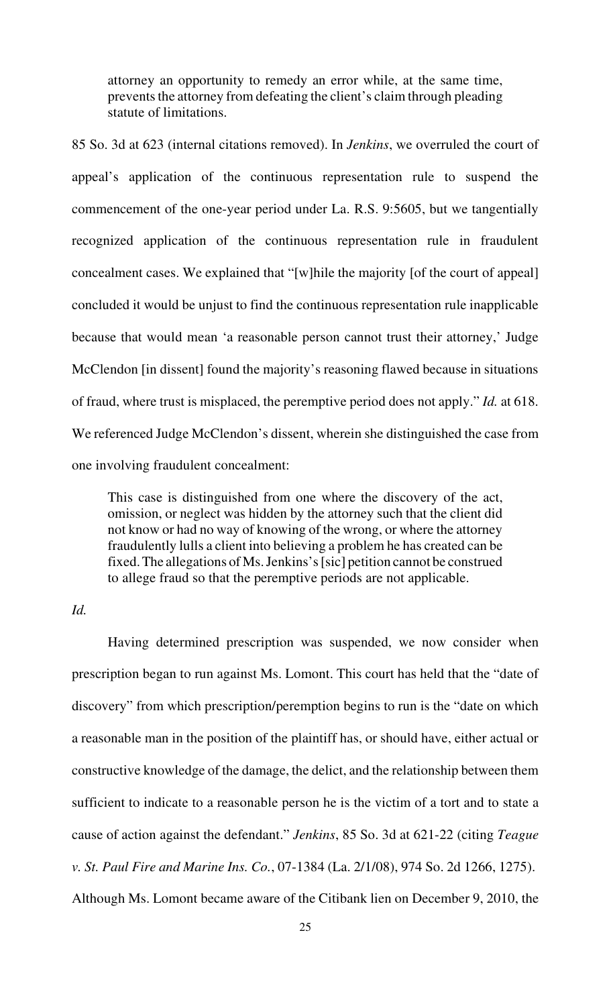attorney an opportunity to remedy an error while, at the same time, prevents the attorney from defeating the client's claim through pleading statute of limitations.

85 So. 3d at 623 (internal citations removed). In *Jenkins*, we overruled the court of appeal's application of the continuous representation rule to suspend the commencement of the one-year period under La. R.S. 9:5605, but we tangentially recognized application of the continuous representation rule in fraudulent concealment cases. We explained that "[w]hile the majority [of the court of appeal] concluded it would be unjust to find the continuous representation rule inapplicable because that would mean 'a reasonable person cannot trust their attorney,' Judge McClendon [in dissent] found the majority's reasoning flawed because in situations of fraud, where trust is misplaced, the peremptive period does not apply." *Id.* at 618. We referenced Judge McClendon's dissent, wherein she distinguished the case from one involving fraudulent concealment:

This case is distinguished from one where the discovery of the act, omission, or neglect was hidden by the attorney such that the client did not know or had no way of knowing of the wrong, or where the attorney fraudulently lulls a client into believing a problem he has created can be fixed. The allegations of Ms. Jenkins's [sic] petition cannot be construed to allege fraud so that the peremptive periods are not applicable.

## *Id.*

Having determined prescription was suspended, we now consider when prescription began to run against Ms. Lomont. This court has held that the "date of discovery" from which prescription/peremption begins to run is the "date on which a reasonable man in the position of the plaintiff has, or should have, either actual or constructive knowledge of the damage, the delict, and the relationship between them sufficient to indicate to a reasonable person he is the victim of a tort and to state a cause of action against the defendant." *Jenkins*, 85 So. 3d at 621-22 (citing *Teague v. St. Paul Fire and Marine Ins. Co.*, 07-1384 (La. 2/1/08), 974 So. 2d 1266, 1275). Although Ms. Lomont became aware of the Citibank lien on December 9, 2010, the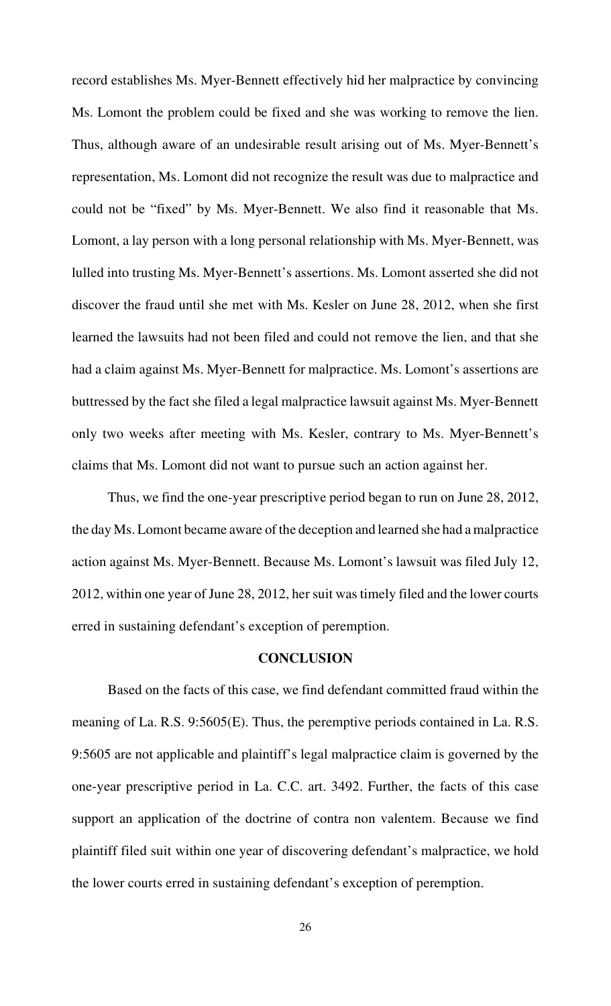record establishes Ms. Myer-Bennett effectively hid her malpractice by convincing Ms. Lomont the problem could be fixed and she was working to remove the lien. Thus, although aware of an undesirable result arising out of Ms. Myer-Bennett's representation, Ms. Lomont did not recognize the result was due to malpractice and could not be "fixed" by Ms. Myer-Bennett. We also find it reasonable that Ms. Lomont, a lay person with a long personal relationship with Ms. Myer-Bennett, was lulled into trusting Ms. Myer-Bennett's assertions. Ms. Lomont asserted she did not discover the fraud until she met with Ms. Kesler on June 28, 2012, when she first learned the lawsuits had not been filed and could not remove the lien, and that she had a claim against Ms. Myer-Bennett for malpractice. Ms. Lomont's assertions are buttressed by the fact she filed a legal malpractice lawsuit against Ms. Myer-Bennett only two weeks after meeting with Ms. Kesler, contrary to Ms. Myer-Bennett's claims that Ms. Lomont did not want to pursue such an action against her.

Thus, we find the one-year prescriptive period began to run on June 28, 2012, the day Ms. Lomont became aware of the deception and learned she had a malpractice action against Ms. Myer-Bennett. Because Ms. Lomont's lawsuit was filed July 12, 2012, within one year of June 28, 2012, her suit was timely filed and the lower courts erred in sustaining defendant's exception of peremption.

## **CONCLUSION**

Based on the facts of this case, we find defendant committed fraud within the meaning of La. R.S. 9:5605(E). Thus, the peremptive periods contained in La. R.S. 9:5605 are not applicable and plaintiff's legal malpractice claim is governed by the one-year prescriptive period in La. C.C. art. 3492. Further, the facts of this case support an application of the doctrine of contra non valentem. Because we find plaintiff filed suit within one year of discovering defendant's malpractice, we hold the lower courts erred in sustaining defendant's exception of peremption.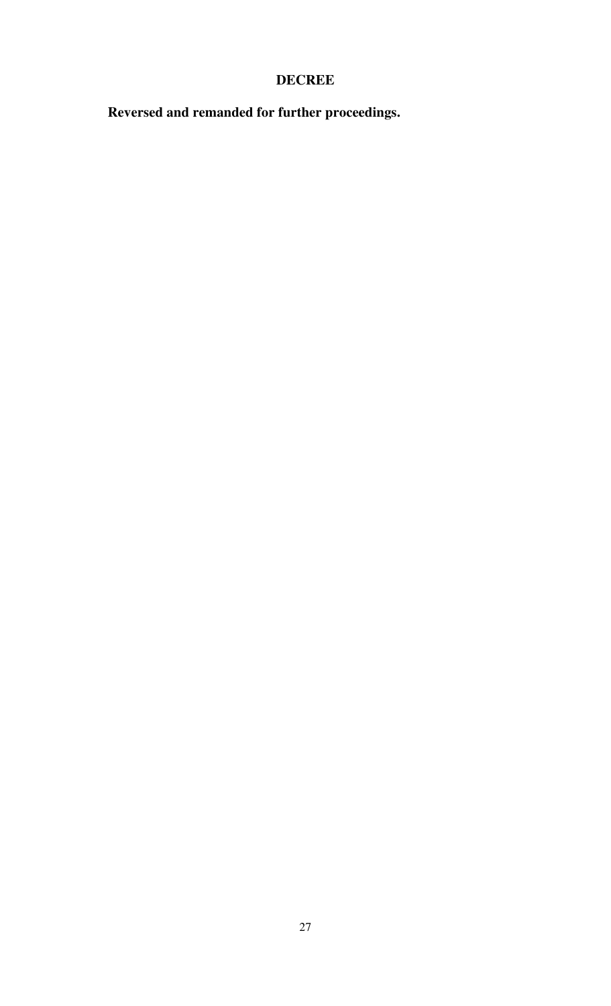## **DECREE**

**Reversed and remanded for further proceedings.**